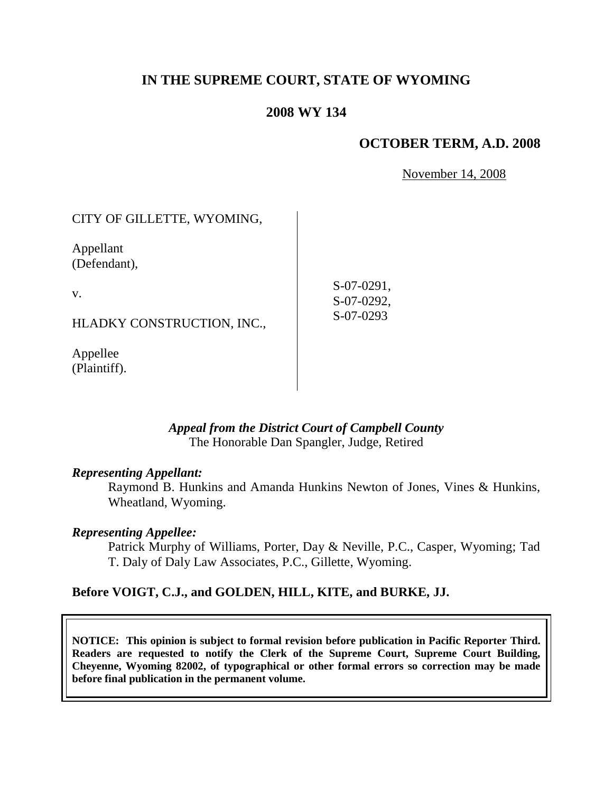## **IN THE SUPREME COURT, STATE OF WYOMING**

### **2008 WY 134**

#### **OCTOBER TERM, A.D. 2008**

November 14, 2008

| CITY OF GILLETTE, WYOMING, |                          |
|----------------------------|--------------------------|
| Appellant<br>(Defendant),  |                          |
| V.                         | S-07-0291,<br>S-07-0292, |
| HLADKY CONSTRUCTION, INC., | $S-07-0293$              |
| Appellee                   |                          |

#### *Appeal from the District Court of Campbell County* The Honorable Dan Spangler, Judge, Retired

#### *Representing Appellant:*

(Plaintiff).

Raymond B. Hunkins and Amanda Hunkins Newton of Jones, Vines & Hunkins, Wheatland, Wyoming.

#### *Representing Appellee:*

Patrick Murphy of Williams, Porter, Day & Neville, P.C., Casper, Wyoming; Tad T. Daly of Daly Law Associates, P.C., Gillette, Wyoming.

#### **Before VOIGT, C.J., and GOLDEN, HILL, KITE, and BURKE, JJ.**

**NOTICE: This opinion is subject to formal revision before publication in Pacific Reporter Third. Readers are requested to notify the Clerk of the Supreme Court, Supreme Court Building, Cheyenne, Wyoming 82002, of typographical or other formal errors so correction may be made before final publication in the permanent volume.**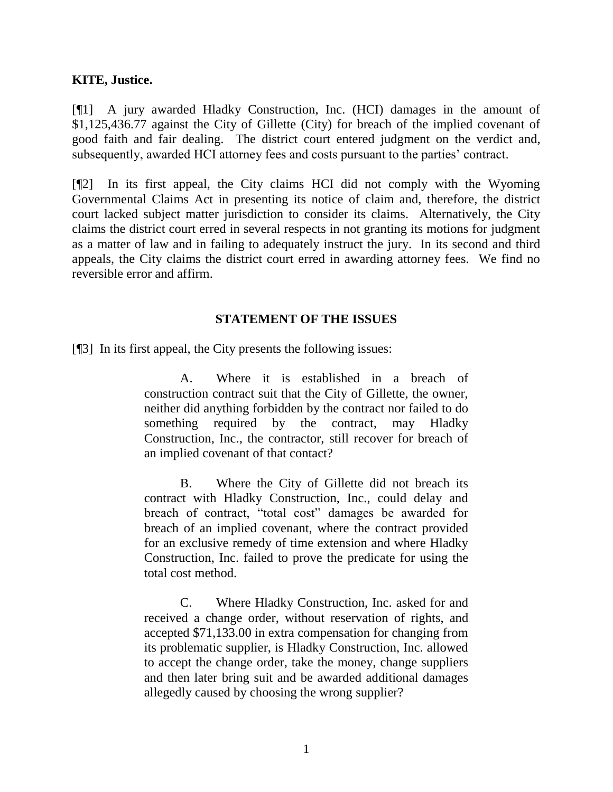#### **KITE, Justice.**

[¶1] A jury awarded Hladky Construction, Inc. (HCI) damages in the amount of \$1,125,436.77 against the City of Gillette (City) for breach of the implied covenant of good faith and fair dealing. The district court entered judgment on the verdict and, subsequently, awarded HCI attorney fees and costs pursuant to the parties' contract.

[¶2] In its first appeal, the City claims HCI did not comply with the Wyoming Governmental Claims Act in presenting its notice of claim and, therefore, the district court lacked subject matter jurisdiction to consider its claims. Alternatively, the City claims the district court erred in several respects in not granting its motions for judgment as a matter of law and in failing to adequately instruct the jury. In its second and third appeals, the City claims the district court erred in awarding attorney fees. We find no reversible error and affirm.

### **STATEMENT OF THE ISSUES**

[¶3] In its first appeal, the City presents the following issues:

A. Where it is established in a breach of construction contract suit that the City of Gillette, the owner, neither did anything forbidden by the contract nor failed to do something required by the contract, may Hladky Construction, Inc., the contractor, still recover for breach of an implied covenant of that contact?

B. Where the City of Gillette did not breach its contract with Hladky Construction, Inc., could delay and breach of contract, "total cost" damages be awarded for breach of an implied covenant, where the contract provided for an exclusive remedy of time extension and where Hladky Construction, Inc. failed to prove the predicate for using the total cost method.

C. Where Hladky Construction, Inc. asked for and received a change order, without reservation of rights, and accepted \$71,133.00 in extra compensation for changing from its problematic supplier, is Hladky Construction, Inc. allowed to accept the change order, take the money, change suppliers and then later bring suit and be awarded additional damages allegedly caused by choosing the wrong supplier?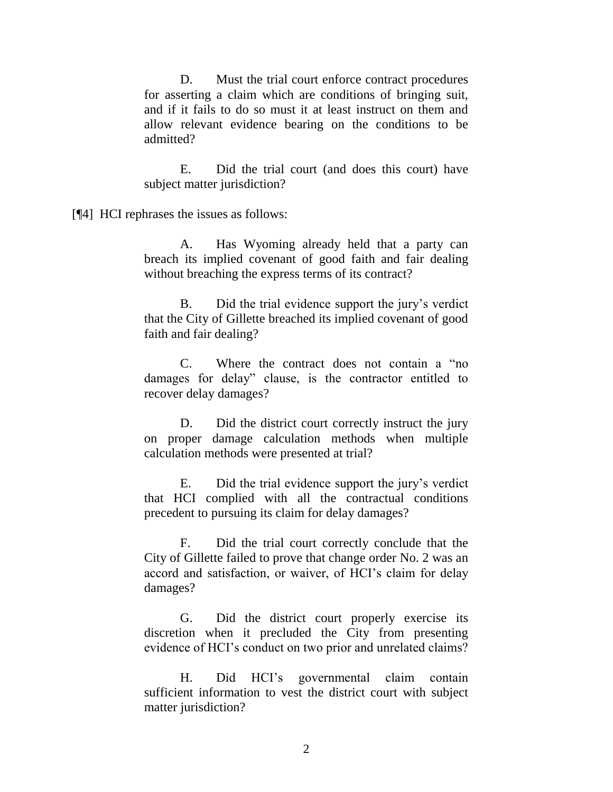D. Must the trial court enforce contract procedures for asserting a claim which are conditions of bringing suit, and if it fails to do so must it at least instruct on them and allow relevant evidence bearing on the conditions to be admitted?

E. Did the trial court (and does this court) have subject matter jurisdiction?

[¶4] HCI rephrases the issues as follows:

A. Has Wyoming already held that a party can breach its implied covenant of good faith and fair dealing without breaching the express terms of its contract?

B. Did the trial evidence support the jury's verdict that the City of Gillette breached its implied covenant of good faith and fair dealing?

C. Where the contract does not contain a "no damages for delay" clause, is the contractor entitled to recover delay damages?

D. Did the district court correctly instruct the jury on proper damage calculation methods when multiple calculation methods were presented at trial?

E. Did the trial evidence support the jury's verdict that HCI complied with all the contractual conditions precedent to pursuing its claim for delay damages?

F. Did the trial court correctly conclude that the City of Gillette failed to prove that change order No. 2 was an accord and satisfaction, or waiver, of HCI's claim for delay damages?

G. Did the district court properly exercise its discretion when it precluded the City from presenting evidence of HCI's conduct on two prior and unrelated claims?

H. Did HCI's governmental claim contain sufficient information to vest the district court with subject matter jurisdiction?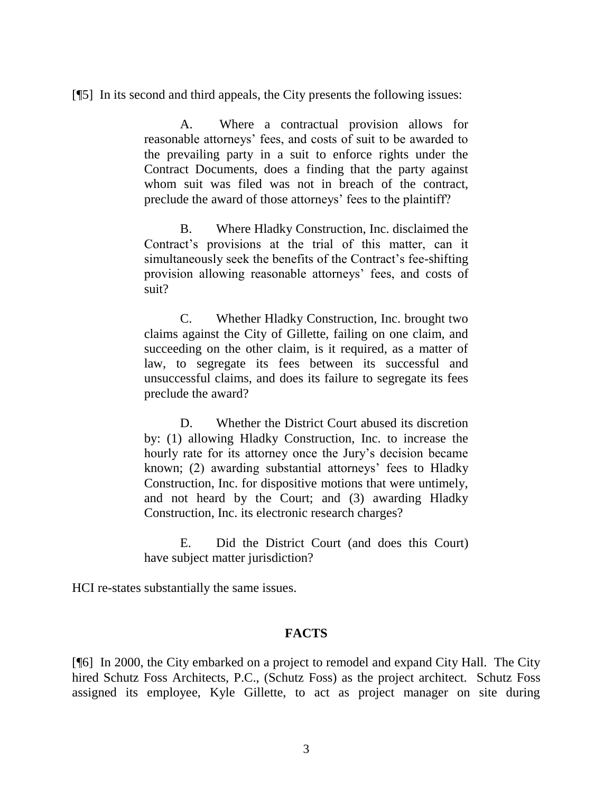[¶5] In its second and third appeals, the City presents the following issues:

A. Where a contractual provision allows for reasonable attorneys' fees, and costs of suit to be awarded to the prevailing party in a suit to enforce rights under the Contract Documents, does a finding that the party against whom suit was filed was not in breach of the contract, preclude the award of those attorneys' fees to the plaintiff?

B. Where Hladky Construction, Inc. disclaimed the Contract's provisions at the trial of this matter, can it simultaneously seek the benefits of the Contract's fee-shifting provision allowing reasonable attorneys' fees, and costs of suit?

C. Whether Hladky Construction, Inc. brought two claims against the City of Gillette, failing on one claim, and succeeding on the other claim, is it required, as a matter of law, to segregate its fees between its successful and unsuccessful claims, and does its failure to segregate its fees preclude the award?

D. Whether the District Court abused its discretion by: (1) allowing Hladky Construction, Inc. to increase the hourly rate for its attorney once the Jury's decision became known; (2) awarding substantial attorneys' fees to Hladky Construction, Inc. for dispositive motions that were untimely, and not heard by the Court; and (3) awarding Hladky Construction, Inc. its electronic research charges?

E. Did the District Court (and does this Court) have subject matter jurisdiction?

HCI re-states substantially the same issues.

## **FACTS**

[¶6] In 2000, the City embarked on a project to remodel and expand City Hall. The City hired Schutz Foss Architects, P.C., (Schutz Foss) as the project architect. Schutz Foss assigned its employee, Kyle Gillette, to act as project manager on site during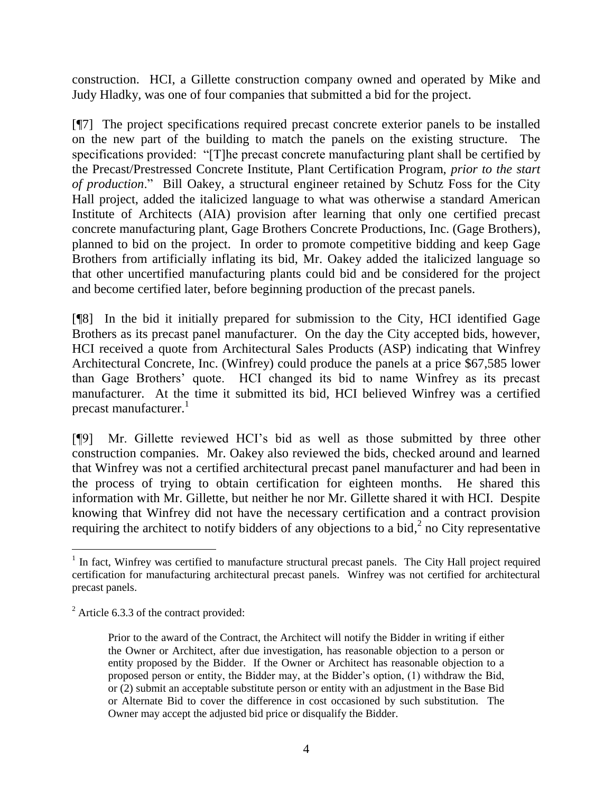construction. HCI, a Gillette construction company owned and operated by Mike and Judy Hladky, was one of four companies that submitted a bid for the project.

[¶7] The project specifications required precast concrete exterior panels to be installed on the new part of the building to match the panels on the existing structure. The specifications provided: "[T]he precast concrete manufacturing plant shall be certified by the Precast/Prestressed Concrete Institute, Plant Certification Program, *prior to the start of production*." Bill Oakey, a structural engineer retained by Schutz Foss for the City Hall project, added the italicized language to what was otherwise a standard American Institute of Architects (AIA) provision after learning that only one certified precast concrete manufacturing plant, Gage Brothers Concrete Productions, Inc. (Gage Brothers), planned to bid on the project. In order to promote competitive bidding and keep Gage Brothers from artificially inflating its bid, Mr. Oakey added the italicized language so that other uncertified manufacturing plants could bid and be considered for the project and become certified later, before beginning production of the precast panels.

[¶8] In the bid it initially prepared for submission to the City, HCI identified Gage Brothers as its precast panel manufacturer. On the day the City accepted bids, however, HCI received a quote from Architectural Sales Products (ASP) indicating that Winfrey Architectural Concrete, Inc. (Winfrey) could produce the panels at a price \$67,585 lower than Gage Brothers' quote. HCI changed its bid to name Winfrey as its precast manufacturer. At the time it submitted its bid, HCI believed Winfrey was a certified precast manufacturer. $^1$ 

[¶9] Mr. Gillette reviewed HCI's bid as well as those submitted by three other construction companies. Mr. Oakey also reviewed the bids, checked around and learned that Winfrey was not a certified architectural precast panel manufacturer and had been in the process of trying to obtain certification for eighteen months. He shared this information with Mr. Gillette, but neither he nor Mr. Gillette shared it with HCI. Despite knowing that Winfrey did not have the necessary certification and a contract provision requiring the architect to notify bidders of any objections to a bid, $^2$  no City representative

l

<sup>&</sup>lt;sup>1</sup> In fact, Winfrey was certified to manufacture structural precast panels. The City Hall project required certification for manufacturing architectural precast panels. Winfrey was not certified for architectural precast panels.

 $2^2$  Article 6.3.3 of the contract provided:

Prior to the award of the Contract, the Architect will notify the Bidder in writing if either the Owner or Architect, after due investigation, has reasonable objection to a person or entity proposed by the Bidder. If the Owner or Architect has reasonable objection to a proposed person or entity, the Bidder may, at the Bidder's option, (1) withdraw the Bid, or (2) submit an acceptable substitute person or entity with an adjustment in the Base Bid or Alternate Bid to cover the difference in cost occasioned by such substitution. The Owner may accept the adjusted bid price or disqualify the Bidder.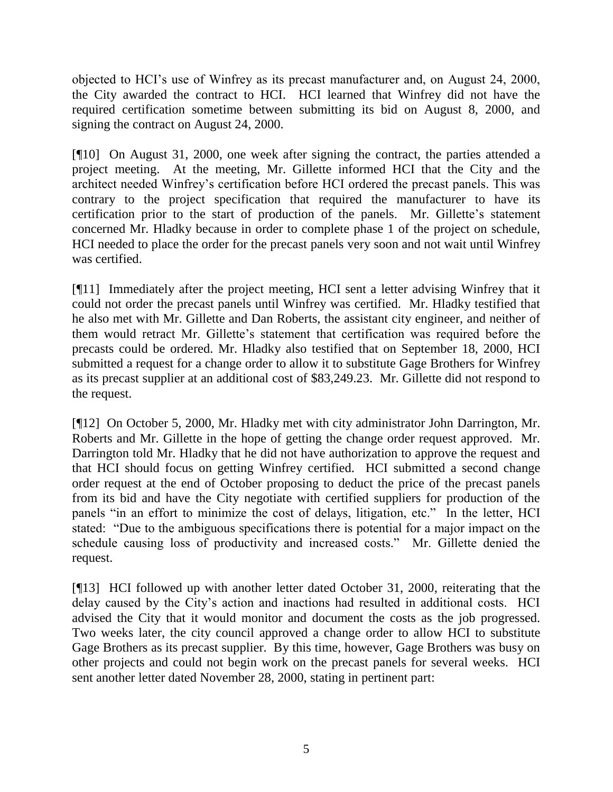objected to HCI's use of Winfrey as its precast manufacturer and, on August 24, 2000, the City awarded the contract to HCI. HCI learned that Winfrey did not have the required certification sometime between submitting its bid on August 8, 2000, and signing the contract on August 24, 2000.

[¶10] On August 31, 2000, one week after signing the contract, the parties attended a project meeting. At the meeting, Mr. Gillette informed HCI that the City and the architect needed Winfrey's certification before HCI ordered the precast panels. This was contrary to the project specification that required the manufacturer to have its certification prior to the start of production of the panels. Mr. Gillette's statement concerned Mr. Hladky because in order to complete phase 1 of the project on schedule, HCI needed to place the order for the precast panels very soon and not wait until Winfrey was certified.

[¶11] Immediately after the project meeting, HCI sent a letter advising Winfrey that it could not order the precast panels until Winfrey was certified. Mr. Hladky testified that he also met with Mr. Gillette and Dan Roberts, the assistant city engineer, and neither of them would retract Mr. Gillette's statement that certification was required before the precasts could be ordered. Mr. Hladky also testified that on September 18, 2000, HCI submitted a request for a change order to allow it to substitute Gage Brothers for Winfrey as its precast supplier at an additional cost of \$83,249.23. Mr. Gillette did not respond to the request.

[¶12] On October 5, 2000, Mr. Hladky met with city administrator John Darrington, Mr. Roberts and Mr. Gillette in the hope of getting the change order request approved. Mr. Darrington told Mr. Hladky that he did not have authorization to approve the request and that HCI should focus on getting Winfrey certified. HCI submitted a second change order request at the end of October proposing to deduct the price of the precast panels from its bid and have the City negotiate with certified suppliers for production of the panels "in an effort to minimize the cost of delays, litigation, etc." In the letter, HCI stated: "Due to the ambiguous specifications there is potential for a major impact on the schedule causing loss of productivity and increased costs." Mr. Gillette denied the request.

[¶13] HCI followed up with another letter dated October 31, 2000, reiterating that the delay caused by the City's action and inactions had resulted in additional costs. HCI advised the City that it would monitor and document the costs as the job progressed. Two weeks later, the city council approved a change order to allow HCI to substitute Gage Brothers as its precast supplier. By this time, however, Gage Brothers was busy on other projects and could not begin work on the precast panels for several weeks. HCI sent another letter dated November 28, 2000, stating in pertinent part: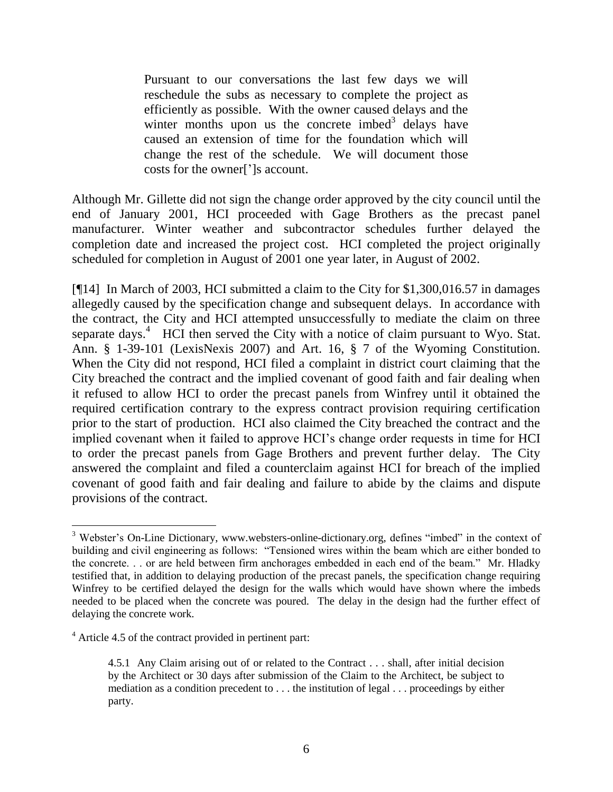Pursuant to our conversations the last few days we will reschedule the subs as necessary to complete the project as efficiently as possible. With the owner caused delays and the winter months upon us the concrete imbed<sup>3</sup> delays have caused an extension of time for the foundation which will change the rest of the schedule. We will document those costs for the owner[']s account.

Although Mr. Gillette did not sign the change order approved by the city council until the end of January 2001, HCI proceeded with Gage Brothers as the precast panel manufacturer. Winter weather and subcontractor schedules further delayed the completion date and increased the project cost. HCI completed the project originally scheduled for completion in August of 2001 one year later, in August of 2002.

[¶14] In March of 2003, HCI submitted a claim to the City for \$1,300,016.57 in damages allegedly caused by the specification change and subsequent delays. In accordance with the contract, the City and HCI attempted unsuccessfully to mediate the claim on three separate days.<sup>4</sup> HCI then served the City with a notice of claim pursuant to Wyo. Stat. Ann. § 1-39-101 (LexisNexis 2007) and Art. 16, § 7 of the Wyoming Constitution. When the City did not respond, HCI filed a complaint in district court claiming that the City breached the contract and the implied covenant of good faith and fair dealing when it refused to allow HCI to order the precast panels from Winfrey until it obtained the required certification contrary to the express contract provision requiring certification prior to the start of production. HCI also claimed the City breached the contract and the implied covenant when it failed to approve HCI's change order requests in time for HCI to order the precast panels from Gage Brothers and prevent further delay. The City answered the complaint and filed a counterclaim against HCI for breach of the implied covenant of good faith and fair dealing and failure to abide by the claims and dispute provisions of the contract.

<sup>&</sup>lt;sup>3</sup> Webster's On-Line Dictionary, www.websters-online-dictionary.org, defines "imbed" in the context of building and civil engineering as follows: "Tensioned wires within the beam which are either bonded to the concrete. . . or are held between firm anchorages embedded in each end of the beam." Mr. Hladky testified that, in addition to delaying production of the precast panels, the specification change requiring Winfrey to be certified delayed the design for the walls which would have shown where the imbeds needed to be placed when the concrete was poured. The delay in the design had the further effect of delaying the concrete work.

<sup>&</sup>lt;sup>4</sup> Article 4.5 of the contract provided in pertinent part:

<sup>4.5.1</sup> Any Claim arising out of or related to the Contract . . . shall, after initial decision by the Architect or 30 days after submission of the Claim to the Architect, be subject to mediation as a condition precedent to . . . the institution of legal . . . proceedings by either party.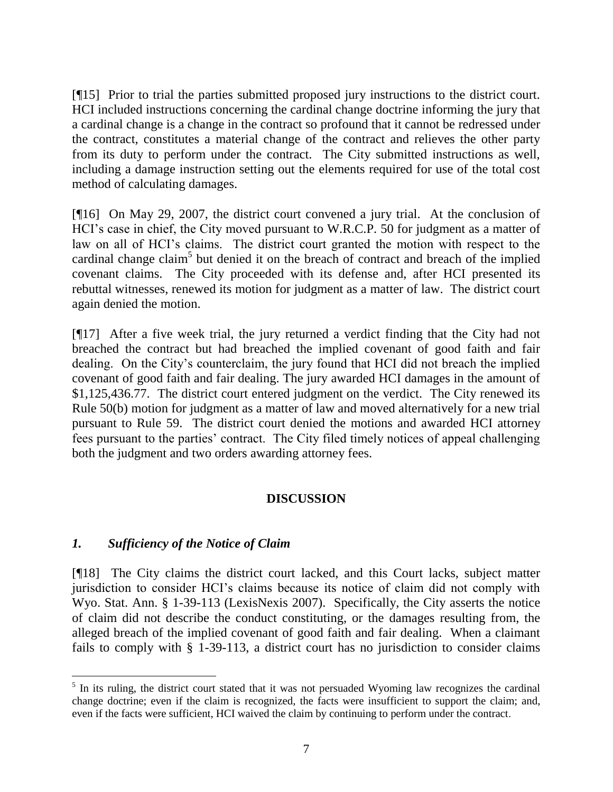[¶15] Prior to trial the parties submitted proposed jury instructions to the district court. HCI included instructions concerning the cardinal change doctrine informing the jury that a cardinal change is a change in the contract so profound that it cannot be redressed under the contract, constitutes a material change of the contract and relieves the other party from its duty to perform under the contract. The City submitted instructions as well, including a damage instruction setting out the elements required for use of the total cost method of calculating damages.

[¶16] On May 29, 2007, the district court convened a jury trial. At the conclusion of HCI's case in chief, the City moved pursuant to W.R.C.P. 50 for judgment as a matter of law on all of HCI's claims. The district court granted the motion with respect to the cardinal change claim<sup>5</sup> but denied it on the breach of contract and breach of the implied covenant claims. The City proceeded with its defense and, after HCI presented its rebuttal witnesses, renewed its motion for judgment as a matter of law. The district court again denied the motion.

[¶17] After a five week trial, the jury returned a verdict finding that the City had not breached the contract but had breached the implied covenant of good faith and fair dealing. On the City's counterclaim, the jury found that HCI did not breach the implied covenant of good faith and fair dealing. The jury awarded HCI damages in the amount of \$1,125,436.77. The district court entered judgment on the verdict. The City renewed its Rule 50(b) motion for judgment as a matter of law and moved alternatively for a new trial pursuant to Rule 59. The district court denied the motions and awarded HCI attorney fees pursuant to the parties' contract. The City filed timely notices of appeal challenging both the judgment and two orders awarding attorney fees.

# **DISCUSSION**

## *1. Sufficiency of the Notice of Claim*

[¶18] The City claims the district court lacked, and this Court lacks, subject matter jurisdiction to consider HCI's claims because its notice of claim did not comply with Wyo. Stat. Ann. § 1-39-113 (LexisNexis 2007). Specifically, the City asserts the notice of claim did not describe the conduct constituting, or the damages resulting from, the alleged breach of the implied covenant of good faith and fair dealing. When a claimant fails to comply with § 1-39-113, a district court has no jurisdiction to consider claims

<sup>&</sup>lt;sup>5</sup> In its ruling, the district court stated that it was not persuaded Wyoming law recognizes the cardinal change doctrine; even if the claim is recognized, the facts were insufficient to support the claim; and, even if the facts were sufficient, HCI waived the claim by continuing to perform under the contract.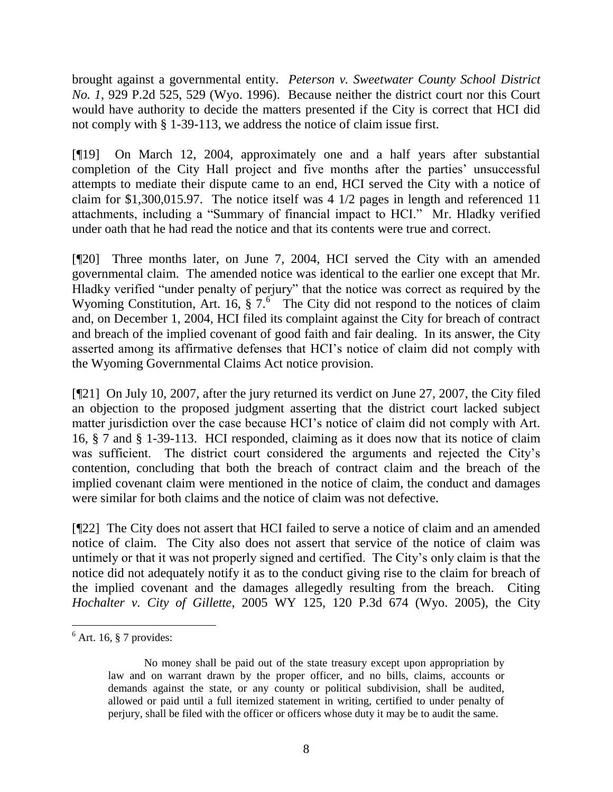brought against a governmental entity. *Peterson v. Sweetwater County School District No. 1*, 929 P.2d 525, 529 (Wyo. 1996). Because neither the district court nor this Court would have authority to decide the matters presented if the City is correct that HCI did not comply with § 1-39-113, we address the notice of claim issue first.

[¶19] On March 12, 2004, approximately one and a half years after substantial completion of the City Hall project and five months after the parties' unsuccessful attempts to mediate their dispute came to an end, HCI served the City with a notice of claim for \$1,300,015.97. The notice itself was 4 1/2 pages in length and referenced 11 attachments, including a "Summary of financial impact to HCI." Mr. Hladky verified under oath that he had read the notice and that its contents were true and correct.

[¶20] Three months later, on June 7, 2004, HCI served the City with an amended governmental claim. The amended notice was identical to the earlier one except that Mr. Hladky verified "under penalty of perjury" that the notice was correct as required by the Wyoming Constitution, Art. 16,  $\frac{2}{3}$   $\frac{7}{6}$  The City did not respond to the notices of claim and, on December 1, 2004, HCI filed its complaint against the City for breach of contract and breach of the implied covenant of good faith and fair dealing. In its answer, the City asserted among its affirmative defenses that HCI's notice of claim did not comply with the Wyoming Governmental Claims Act notice provision.

[¶21] On July 10, 2007, after the jury returned its verdict on June 27, 2007, the City filed an objection to the proposed judgment asserting that the district court lacked subject matter jurisdiction over the case because HCI's notice of claim did not comply with Art. 16, § 7 and § 1-39-113. HCI responded, claiming as it does now that its notice of claim was sufficient. The district court considered the arguments and rejected the City's contention, concluding that both the breach of contract claim and the breach of the implied covenant claim were mentioned in the notice of claim, the conduct and damages were similar for both claims and the notice of claim was not defective.

[¶22] The City does not assert that HCI failed to serve a notice of claim and an amended notice of claim. The City also does not assert that service of the notice of claim was untimely or that it was not properly signed and certified. The City's only claim is that the notice did not adequately notify it as to the conduct giving rise to the claim for breach of the implied covenant and the damages allegedly resulting from the breach. Citing *Hochalter v. City of Gillette*, 2005 WY 125, 120 P.3d 674 (Wyo. 2005), the City

 $6$  Art. 16, § 7 provides:

No money shall be paid out of the state treasury except upon appropriation by law and on warrant drawn by the proper officer, and no bills, claims, accounts or demands against the state, or any county or political subdivision, shall be audited, allowed or paid until a full itemized statement in writing, certified to under penalty of perjury, shall be filed with the officer or officers whose duty it may be to audit the same.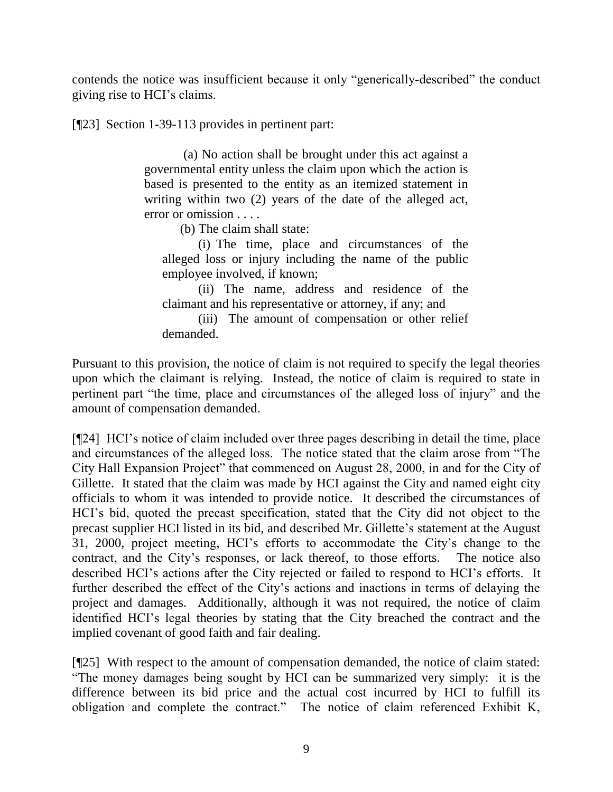contends the notice was insufficient because it only "generically-described" the conduct giving rise to HCI's claims.

[¶23] Section 1-39-113 provides in pertinent part:

(a) No action shall be brought under this act against a governmental entity unless the claim upon which the action is based is presented to the entity as an itemized statement in writing within two (2) years of the date of the alleged act, error or omission . . . .

(b) The claim shall state:

(i) The time, place and circumstances of the alleged loss or injury including the name of the public employee involved, if known;

(ii) The name, address and residence of the claimant and his representative or attorney, if any; and

(iii) The amount of compensation or other relief demanded.

Pursuant to this provision, the notice of claim is not required to specify the legal theories upon which the claimant is relying. Instead, the notice of claim is required to state in pertinent part "the time, place and circumstances of the alleged loss of injury" and the amount of compensation demanded.

[¶24] HCI's notice of claim included over three pages describing in detail the time, place and circumstances of the alleged loss. The notice stated that the claim arose from "The City Hall Expansion Project" that commenced on August 28, 2000, in and for the City of Gillette. It stated that the claim was made by HCI against the City and named eight city officials to whom it was intended to provide notice. It described the circumstances of HCI's bid, quoted the precast specification, stated that the City did not object to the precast supplier HCI listed in its bid, and described Mr. Gillette's statement at the August 31, 2000, project meeting, HCI's efforts to accommodate the City's change to the contract, and the City's responses, or lack thereof, to those efforts. The notice also described HCI's actions after the City rejected or failed to respond to HCI's efforts. It further described the effect of the City's actions and inactions in terms of delaying the project and damages. Additionally, although it was not required, the notice of claim identified HCI's legal theories by stating that the City breached the contract and the implied covenant of good faith and fair dealing.

[¶25] With respect to the amount of compensation demanded, the notice of claim stated: "The money damages being sought by HCI can be summarized very simply: it is the difference between its bid price and the actual cost incurred by HCI to fulfill its obligation and complete the contract." The notice of claim referenced Exhibit K,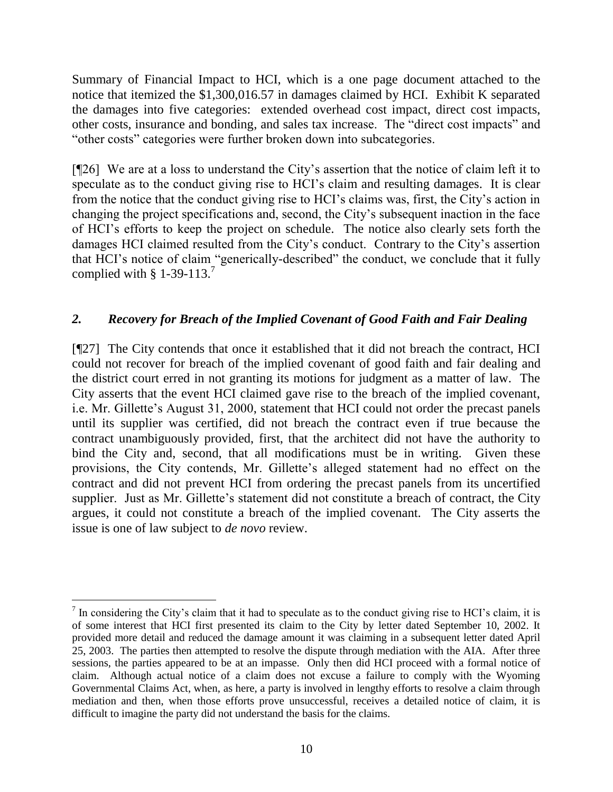Summary of Financial Impact to HCI, which is a one page document attached to the notice that itemized the \$1,300,016.57 in damages claimed by HCI. Exhibit K separated the damages into five categories: extended overhead cost impact, direct cost impacts, other costs, insurance and bonding, and sales tax increase. The "direct cost impacts" and "other costs" categories were further broken down into subcategories.

[¶26] We are at a loss to understand the City's assertion that the notice of claim left it to speculate as to the conduct giving rise to HCI's claim and resulting damages. It is clear from the notice that the conduct giving rise to HCI's claims was, first, the City's action in changing the project specifications and, second, the City's subsequent inaction in the face of HCI's efforts to keep the project on schedule. The notice also clearly sets forth the damages HCI claimed resulted from the City's conduct. Contrary to the City's assertion that HCI's notice of claim "generically-described" the conduct, we conclude that it fully complied with § 1-39-113.<sup>7</sup>

## *2. Recovery for Breach of the Implied Covenant of Good Faith and Fair Dealing*

[¶27] The City contends that once it established that it did not breach the contract, HCI could not recover for breach of the implied covenant of good faith and fair dealing and the district court erred in not granting its motions for judgment as a matter of law. The City asserts that the event HCI claimed gave rise to the breach of the implied covenant, i.e. Mr. Gillette's August 31, 2000, statement that HCI could not order the precast panels until its supplier was certified, did not breach the contract even if true because the contract unambiguously provided, first, that the architect did not have the authority to bind the City and, second, that all modifications must be in writing. Given these provisions, the City contends, Mr. Gillette's alleged statement had no effect on the contract and did not prevent HCI from ordering the precast panels from its uncertified supplier. Just as Mr. Gillette's statement did not constitute a breach of contract, the City argues, it could not constitute a breach of the implied covenant. The City asserts the issue is one of law subject to *de novo* review.

 $\overline{a}$ 

 $<sup>7</sup>$  In considering the City's claim that it had to speculate as to the conduct giving rise to HCI's claim, it is</sup> of some interest that HCI first presented its claim to the City by letter dated September 10, 2002. It provided more detail and reduced the damage amount it was claiming in a subsequent letter dated April 25, 2003. The parties then attempted to resolve the dispute through mediation with the AIA. After three sessions, the parties appeared to be at an impasse. Only then did HCI proceed with a formal notice of claim. Although actual notice of a claim does not excuse a failure to comply with the Wyoming Governmental Claims Act, when, as here, a party is involved in lengthy efforts to resolve a claim through mediation and then, when those efforts prove unsuccessful, receives a detailed notice of claim, it is difficult to imagine the party did not understand the basis for the claims.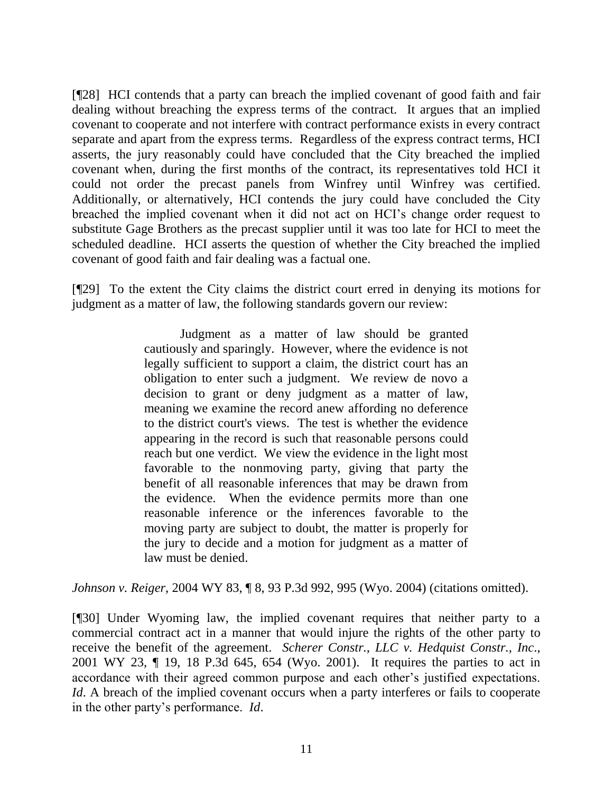[¶28] HCI contends that a party can breach the implied covenant of good faith and fair dealing without breaching the express terms of the contract. It argues that an implied covenant to cooperate and not interfere with contract performance exists in every contract separate and apart from the express terms. Regardless of the express contract terms, HCI asserts, the jury reasonably could have concluded that the City breached the implied covenant when, during the first months of the contract, its representatives told HCI it could not order the precast panels from Winfrey until Winfrey was certified. Additionally, or alternatively, HCI contends the jury could have concluded the City breached the implied covenant when it did not act on HCI's change order request to substitute Gage Brothers as the precast supplier until it was too late for HCI to meet the scheduled deadline. HCI asserts the question of whether the City breached the implied covenant of good faith and fair dealing was a factual one.

[¶29] To the extent the City claims the district court erred in denying its motions for judgment as a matter of law, the following standards govern our review:

> Judgment as a matter of law should be granted cautiously and sparingly. However, where the evidence is not legally sufficient to support a claim, the district court has an obligation to enter such a judgment. We review de novo a decision to grant or deny judgment as a matter of law, meaning we examine the record anew affording no deference to the district court's views. The test is whether the evidence appearing in the record is such that reasonable persons could reach but one verdict. We view the evidence in the light most favorable to the nonmoving party, giving that party the benefit of all reasonable inferences that may be drawn from the evidence. When the evidence permits more than one reasonable inference or the inferences favorable to the moving party are subject to doubt, the matter is properly for the jury to decide and a motion for judgment as a matter of law must be denied.

*Johnson v. Reiger*, 2004 WY 83, ¶ 8, 93 P.3d 992, 995 (Wyo. 2004) (citations omitted).

[¶30] Under Wyoming law, the implied covenant requires that neither party to a commercial contract act in a manner that would injure the rights of the other party to receive the benefit of the agreement. *Scherer Constr., LLC v. Hedquist Constr., Inc*., 2001 WY 23, ¶ 19, 18 P.3d 645, 654 (Wyo. 2001). It requires the parties to act in accordance with their agreed common purpose and each other's justified expectations. *Id*. A breach of the implied covenant occurs when a party interferes or fails to cooperate in the other party's performance. *Id*.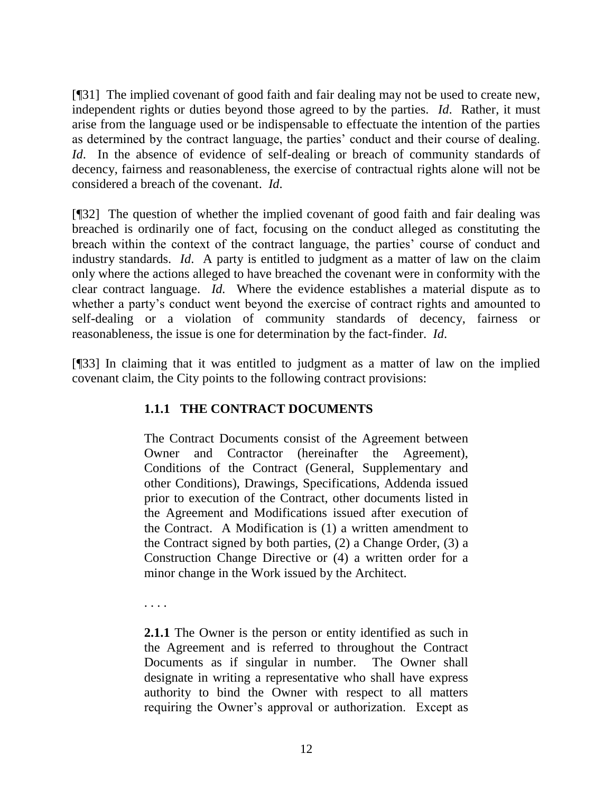[¶31] The implied covenant of good faith and fair dealing may not be used to create new, independent rights or duties beyond those agreed to by the parties. *Id*. Rather, it must arise from the language used or be indispensable to effectuate the intention of the parties as determined by the contract language, the parties' conduct and their course of dealing. *Id*. In the absence of evidence of self-dealing or breach of community standards of decency, fairness and reasonableness, the exercise of contractual rights alone will not be considered a breach of the covenant. *Id*.

[¶32] The question of whether the implied covenant of good faith and fair dealing was breached is ordinarily one of fact, focusing on the conduct alleged as constituting the breach within the context of the contract language, the parties' course of conduct and industry standards. *Id*. A party is entitled to judgment as a matter of law on the claim only where the actions alleged to have breached the covenant were in conformity with the clear contract language. *Id.* Where the evidence establishes a material dispute as to whether a party's conduct went beyond the exercise of contract rights and amounted to self-dealing or a violation of community standards of decency, fairness or reasonableness, the issue is one for determination by the fact-finder. *Id*.

[¶33] In claiming that it was entitled to judgment as a matter of law on the implied covenant claim, the City points to the following contract provisions:

# **1.1.1 THE CONTRACT DOCUMENTS**

The Contract Documents consist of the Agreement between Owner and Contractor (hereinafter the Agreement), Conditions of the Contract (General, Supplementary and other Conditions), Drawings, Specifications, Addenda issued prior to execution of the Contract, other documents listed in the Agreement and Modifications issued after execution of the Contract. A Modification is (1) a written amendment to the Contract signed by both parties, (2) a Change Order, (3) a Construction Change Directive or (4) a written order for a minor change in the Work issued by the Architect.

. . . .

**2.1.1** The Owner is the person or entity identified as such in the Agreement and is referred to throughout the Contract Documents as if singular in number. The Owner shall designate in writing a representative who shall have express authority to bind the Owner with respect to all matters requiring the Owner's approval or authorization. Except as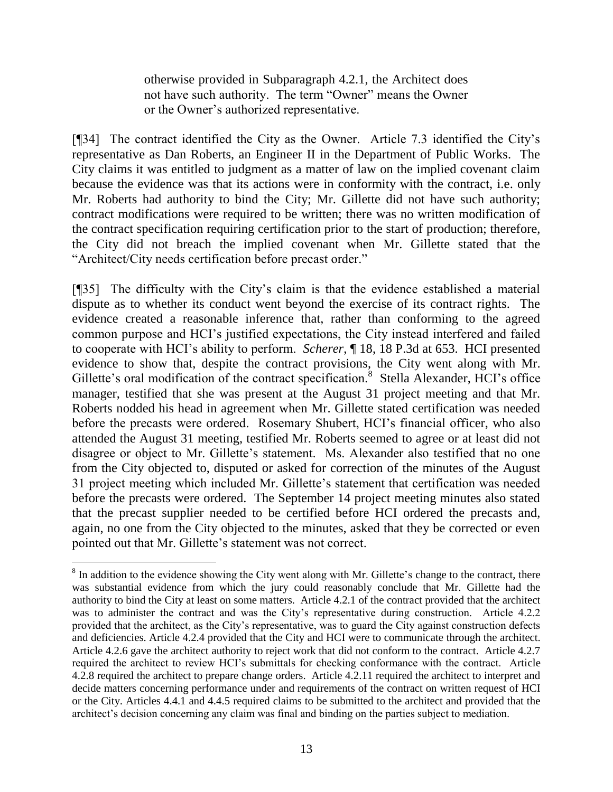otherwise provided in Subparagraph 4.2.1, the Architect does not have such authority. The term "Owner" means the Owner or the Owner's authorized representative.

[¶34] The contract identified the City as the Owner. Article 7.3 identified the City's representative as Dan Roberts, an Engineer II in the Department of Public Works. The City claims it was entitled to judgment as a matter of law on the implied covenant claim because the evidence was that its actions were in conformity with the contract, i.e. only Mr. Roberts had authority to bind the City; Mr. Gillette did not have such authority; contract modifications were required to be written; there was no written modification of the contract specification requiring certification prior to the start of production; therefore, the City did not breach the implied covenant when Mr. Gillette stated that the "Architect/City needs certification before precast order."

[¶35] The difficulty with the City's claim is that the evidence established a material dispute as to whether its conduct went beyond the exercise of its contract rights. The evidence created a reasonable inference that, rather than conforming to the agreed common purpose and HCI's justified expectations, the City instead interfered and failed to cooperate with HCI's ability to perform. *Scherer*, ¶ 18, 18 P.3d at 653. HCI presented evidence to show that, despite the contract provisions, the City went along with Mr. Gillette's oral modification of the contract specification.<sup>8</sup> Stella Alexander, HCI's office manager, testified that she was present at the August 31 project meeting and that Mr. Roberts nodded his head in agreement when Mr. Gillette stated certification was needed before the precasts were ordered. Rosemary Shubert, HCI's financial officer, who also attended the August 31 meeting, testified Mr. Roberts seemed to agree or at least did not disagree or object to Mr. Gillette's statement. Ms. Alexander also testified that no one from the City objected to, disputed or asked for correction of the minutes of the August 31 project meeting which included Mr. Gillette's statement that certification was needed before the precasts were ordered. The September 14 project meeting minutes also stated that the precast supplier needed to be certified before HCI ordered the precasts and, again, no one from the City objected to the minutes, asked that they be corrected or even pointed out that Mr. Gillette's statement was not correct.

 $8$  In addition to the evidence showing the City went along with Mr. Gillette's change to the contract, there was substantial evidence from which the jury could reasonably conclude that Mr. Gillette had the authority to bind the City at least on some matters. Article 4.2.1 of the contract provided that the architect was to administer the contract and was the City's representative during construction. Article 4.2.2 provided that the architect, as the City's representative, was to guard the City against construction defects and deficiencies. Article 4.2.4 provided that the City and HCI were to communicate through the architect. Article 4.2.6 gave the architect authority to reject work that did not conform to the contract. Article 4.2.7 required the architect to review HCI's submittals for checking conformance with the contract. Article 4.2.8 required the architect to prepare change orders. Article 4.2.11 required the architect to interpret and decide matters concerning performance under and requirements of the contract on written request of HCI or the City. Articles 4.4.1 and 4.4.5 required claims to be submitted to the architect and provided that the architect's decision concerning any claim was final and binding on the parties subject to mediation.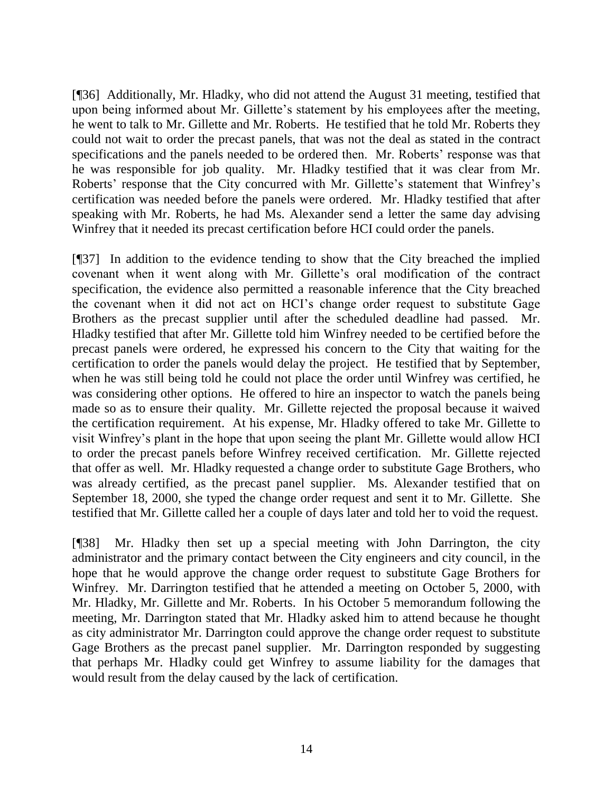[¶36] Additionally, Mr. Hladky, who did not attend the August 31 meeting, testified that upon being informed about Mr. Gillette's statement by his employees after the meeting, he went to talk to Mr. Gillette and Mr. Roberts. He testified that he told Mr. Roberts they could not wait to order the precast panels, that was not the deal as stated in the contract specifications and the panels needed to be ordered then. Mr. Roberts' response was that he was responsible for job quality. Mr. Hladky testified that it was clear from Mr. Roberts' response that the City concurred with Mr. Gillette's statement that Winfrey's certification was needed before the panels were ordered. Mr. Hladky testified that after speaking with Mr. Roberts, he had Ms. Alexander send a letter the same day advising Winfrey that it needed its precast certification before HCI could order the panels.

[¶37] In addition to the evidence tending to show that the City breached the implied covenant when it went along with Mr. Gillette's oral modification of the contract specification, the evidence also permitted a reasonable inference that the City breached the covenant when it did not act on HCI's change order request to substitute Gage Brothers as the precast supplier until after the scheduled deadline had passed. Mr. Hladky testified that after Mr. Gillette told him Winfrey needed to be certified before the precast panels were ordered, he expressed his concern to the City that waiting for the certification to order the panels would delay the project. He testified that by September, when he was still being told he could not place the order until Winfrey was certified, he was considering other options. He offered to hire an inspector to watch the panels being made so as to ensure their quality. Mr. Gillette rejected the proposal because it waived the certification requirement. At his expense, Mr. Hladky offered to take Mr. Gillette to visit Winfrey's plant in the hope that upon seeing the plant Mr. Gillette would allow HCI to order the precast panels before Winfrey received certification. Mr. Gillette rejected that offer as well. Mr. Hladky requested a change order to substitute Gage Brothers, who was already certified, as the precast panel supplier. Ms. Alexander testified that on September 18, 2000, she typed the change order request and sent it to Mr. Gillette. She testified that Mr. Gillette called her a couple of days later and told her to void the request.

[¶38] Mr. Hladky then set up a special meeting with John Darrington, the city administrator and the primary contact between the City engineers and city council, in the hope that he would approve the change order request to substitute Gage Brothers for Winfrey. Mr. Darrington testified that he attended a meeting on October 5, 2000, with Mr. Hladky, Mr. Gillette and Mr. Roberts. In his October 5 memorandum following the meeting, Mr. Darrington stated that Mr. Hladky asked him to attend because he thought as city administrator Mr. Darrington could approve the change order request to substitute Gage Brothers as the precast panel supplier. Mr. Darrington responded by suggesting that perhaps Mr. Hladky could get Winfrey to assume liability for the damages that would result from the delay caused by the lack of certification.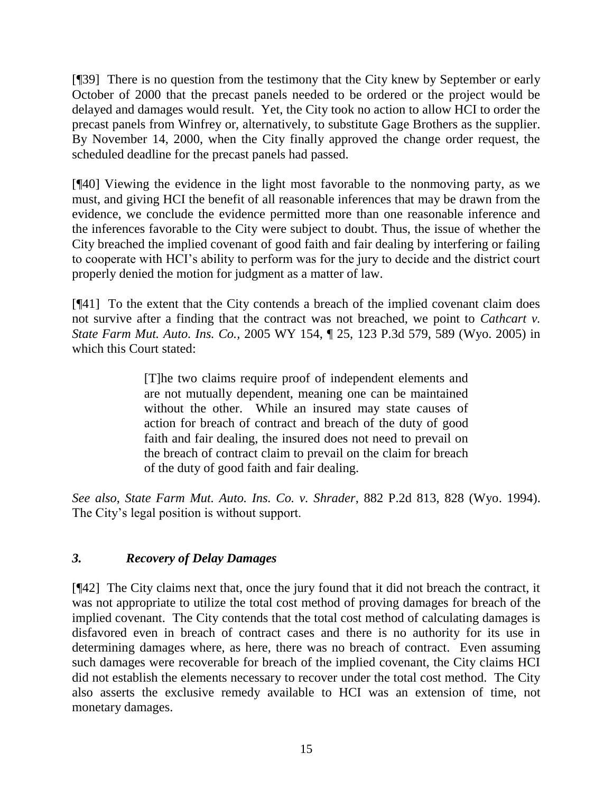[¶39] There is no question from the testimony that the City knew by September or early October of 2000 that the precast panels needed to be ordered or the project would be delayed and damages would result. Yet, the City took no action to allow HCI to order the precast panels from Winfrey or, alternatively, to substitute Gage Brothers as the supplier. By November 14, 2000, when the City finally approved the change order request, the scheduled deadline for the precast panels had passed.

[¶40] Viewing the evidence in the light most favorable to the nonmoving party, as we must, and giving HCI the benefit of all reasonable inferences that may be drawn from the evidence, we conclude the evidence permitted more than one reasonable inference and the inferences favorable to the City were subject to doubt. Thus, the issue of whether the City breached the implied covenant of good faith and fair dealing by interfering or failing to cooperate with HCI's ability to perform was for the jury to decide and the district court properly denied the motion for judgment as a matter of law.

[¶41] To the extent that the City contends a breach of the implied covenant claim does not survive after a finding that the contract was not breached, we point to *Cathcart v. State Farm Mut. Auto. Ins. Co.,* 2005 WY 154, ¶ 25, 123 P.3d 579, 589 (Wyo. 2005) in which this Court stated:

> [T]he two claims require proof of independent elements and are not mutually dependent, meaning one can be maintained without the other. While an insured may state causes of action for breach of contract and breach of the duty of good faith and fair dealing, the insured does not need to prevail on the breach of contract claim to prevail on the claim for breach of the duty of good faith and fair dealing.

*See also*, *State Farm Mut. Auto. Ins. Co. v. Shrader*, 882 P.2d 813, 828 (Wyo. 1994). The City's legal position is without support.

# *3. Recovery of Delay Damages*

[¶42] The City claims next that, once the jury found that it did not breach the contract, it was not appropriate to utilize the total cost method of proving damages for breach of the implied covenant. The City contends that the total cost method of calculating damages is disfavored even in breach of contract cases and there is no authority for its use in determining damages where, as here, there was no breach of contract. Even assuming such damages were recoverable for breach of the implied covenant, the City claims HCI did not establish the elements necessary to recover under the total cost method. The City also asserts the exclusive remedy available to HCI was an extension of time, not monetary damages.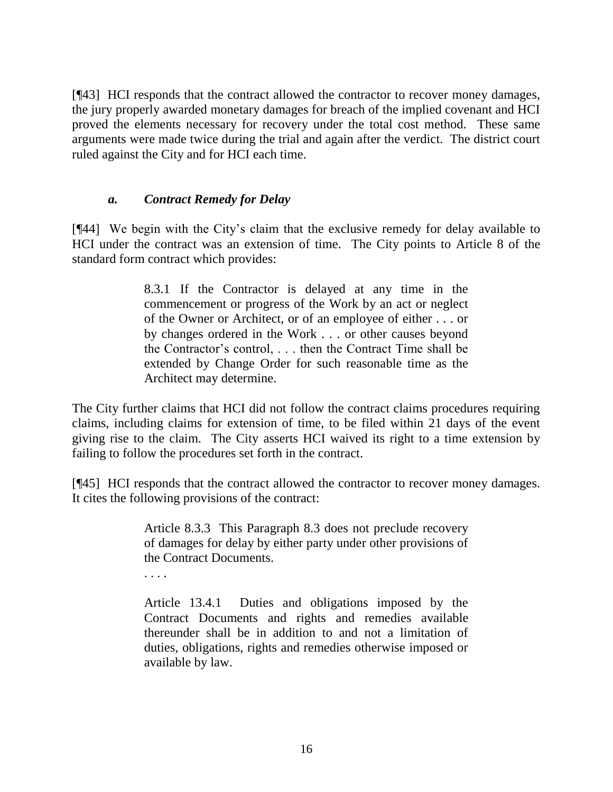[¶43] HCI responds that the contract allowed the contractor to recover money damages, the jury properly awarded monetary damages for breach of the implied covenant and HCI proved the elements necessary for recovery under the total cost method. These same arguments were made twice during the trial and again after the verdict. The district court ruled against the City and for HCI each time.

## *a. Contract Remedy for Delay*

. . . .

[¶44] We begin with the City's claim that the exclusive remedy for delay available to HCI under the contract was an extension of time. The City points to Article 8 of the standard form contract which provides:

> 8.3.1 If the Contractor is delayed at any time in the commencement or progress of the Work by an act or neglect of the Owner or Architect, or of an employee of either . . . or by changes ordered in the Work . . . or other causes beyond the Contractor's control, . . . then the Contract Time shall be extended by Change Order for such reasonable time as the Architect may determine.

The City further claims that HCI did not follow the contract claims procedures requiring claims, including claims for extension of time, to be filed within 21 days of the event giving rise to the claim. The City asserts HCI waived its right to a time extension by failing to follow the procedures set forth in the contract.

[¶45] HCI responds that the contract allowed the contractor to recover money damages. It cites the following provisions of the contract:

> Article 8.3.3 This Paragraph 8.3 does not preclude recovery of damages for delay by either party under other provisions of the Contract Documents.

> Article 13.4.1 Duties and obligations imposed by the Contract Documents and rights and remedies available thereunder shall be in addition to and not a limitation of duties, obligations, rights and remedies otherwise imposed or available by law.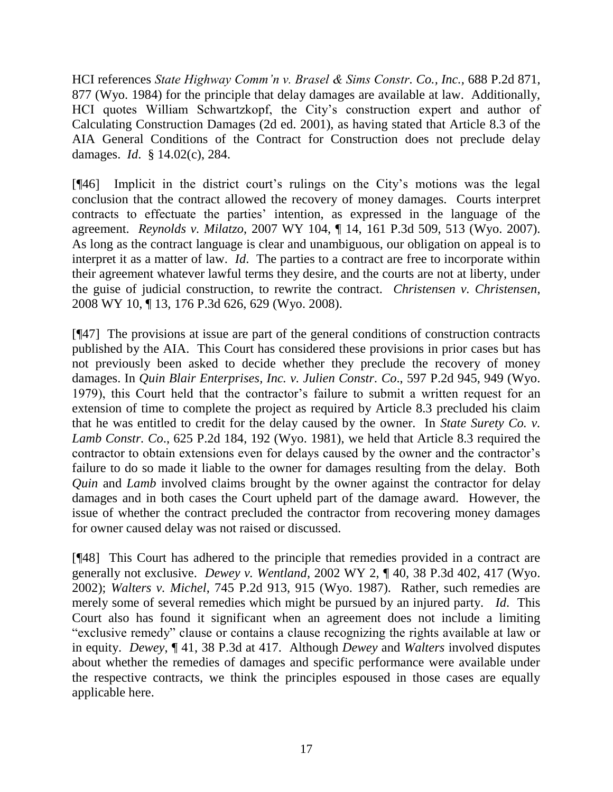HCI references *State Highway Comm'n v. Brasel & Sims Constr. Co., Inc.,* 688 P.2d 871, 877 (Wyo. 1984) for the principle that delay damages are available at law. Additionally, HCI quotes William Schwartzkopf, the City's construction expert and author of Calculating Construction Damages (2d ed. 2001), as having stated that Article 8.3 of the AIA General Conditions of the Contract for Construction does not preclude delay damages. *Id*. § 14.02(c), 284.

[¶46] Implicit in the district court's rulings on the City's motions was the legal conclusion that the contract allowed the recovery of money damages. Courts interpret contracts to effectuate the parties' intention, as expressed in the language of the agreement. *Reynolds v. Milatzo*, 2007 WY 104, ¶ 14, 161 P.3d 509, 513 (Wyo. 2007). As long as the contract language is clear and unambiguous, our obligation on appeal is to interpret it as a matter of law. *Id*. The parties to a contract are free to incorporate within their agreement whatever lawful terms they desire, and the courts are not at liberty, under the guise of judicial construction, to rewrite the contract. *Christensen v. Christensen*, 2008 WY 10, ¶ 13, 176 P.3d 626, 629 (Wyo. 2008).

[¶47] The provisions at issue are part of the general conditions of construction contracts published by the AIA. This Court has considered these provisions in prior cases but has not previously been asked to decide whether they preclude the recovery of money damages. In *Quin Blair Enterprises, Inc. v. Julien Constr. Co*., 597 P.2d 945, 949 (Wyo. 1979), this Court held that the contractor's failure to submit a written request for an extension of time to complete the project as required by Article 8.3 precluded his claim that he was entitled to credit for the delay caused by the owner. In *State Surety Co. v. Lamb Constr. Co*., 625 P.2d 184, 192 (Wyo. 1981), we held that Article 8.3 required the contractor to obtain extensions even for delays caused by the owner and the contractor's failure to do so made it liable to the owner for damages resulting from the delay. Both *Quin* and *Lamb* involved claims brought by the owner against the contractor for delay damages and in both cases the Court upheld part of the damage award. However, the issue of whether the contract precluded the contractor from recovering money damages for owner caused delay was not raised or discussed.

[¶48] This Court has adhered to the principle that remedies provided in a contract are generally not exclusive. *Dewey v. Wentland*, 2002 WY 2, ¶ 40, 38 P.3d 402, 417 (Wyo. 2002); *Walters v. Michel*, 745 P.2d 913, 915 (Wyo. 1987). Rather, such remedies are merely some of several remedies which might be pursued by an injured party. *Id*. This Court also has found it significant when an agreement does not include a limiting "exclusive remedy" clause or contains a clause recognizing the rights available at law or in equity. *Dewey*, ¶ 41, 38 P.3d at 417. Although *Dewey* and *Walters* involved disputes about whether the remedies of damages and specific performance were available under the respective contracts, we think the principles espoused in those cases are equally applicable here.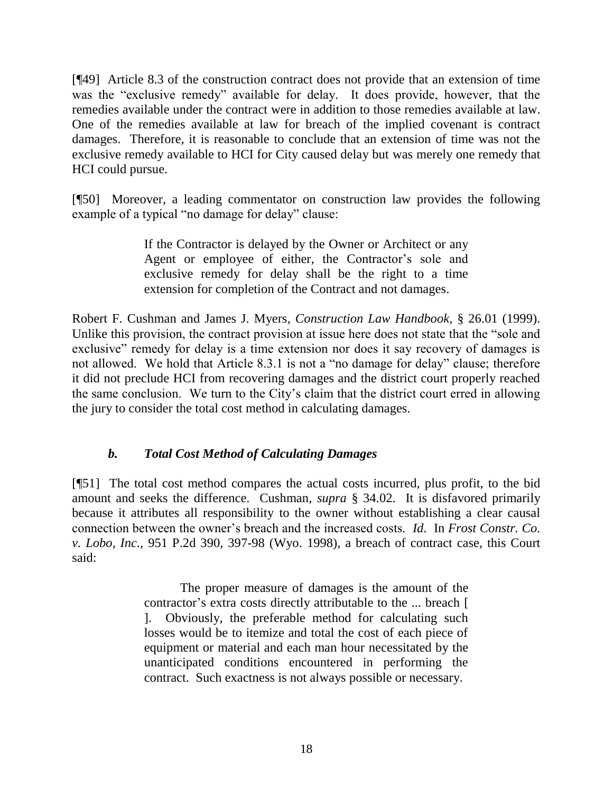[¶49] Article 8.3 of the construction contract does not provide that an extension of time was the "exclusive remedy" available for delay. It does provide, however, that the remedies available under the contract were in addition to those remedies available at law. One of the remedies available at law for breach of the implied covenant is contract damages. Therefore, it is reasonable to conclude that an extension of time was not the exclusive remedy available to HCI for City caused delay but was merely one remedy that HCI could pursue.

[¶50] Moreover, a leading commentator on construction law provides the following example of a typical "no damage for delay" clause:

> If the Contractor is delayed by the Owner or Architect or any Agent or employee of either, the Contractor's sole and exclusive remedy for delay shall be the right to a time extension for completion of the Contract and not damages.

Robert F. Cushman and James J. Myers, *Construction Law Handbook*, § 26.01 (1999). Unlike this provision, the contract provision at issue here does not state that the "sole and exclusive" remedy for delay is a time extension nor does it say recovery of damages is not allowed. We hold that Article 8.3.1 is not a "no damage for delay" clause; therefore it did not preclude HCI from recovering damages and the district court properly reached the same conclusion. We turn to the City's claim that the district court erred in allowing the jury to consider the total cost method in calculating damages.

## *b. Total Cost Method of Calculating Damages*

[¶51] The total cost method compares the actual costs incurred, plus profit, to the bid amount and seeks the difference. Cushman, *supra* § 34.02. It is disfavored primarily because it attributes all responsibility to the owner without establishing a clear causal connection between the owner's breach and the increased costs. *Id*. In *Frost Constr. Co. v. Lobo, Inc.,* 951 P.2d 390, 397-98 (Wyo. 1998), a breach of contract case, this Court said:

> The proper measure of damages is the amount of the contractor's extra costs directly attributable to the ... breach [ ]. Obviously, the preferable method for calculating such losses would be to itemize and total the cost of each piece of equipment or material and each man hour necessitated by the unanticipated conditions encountered in performing the contract. Such exactness is not always possible or necessary.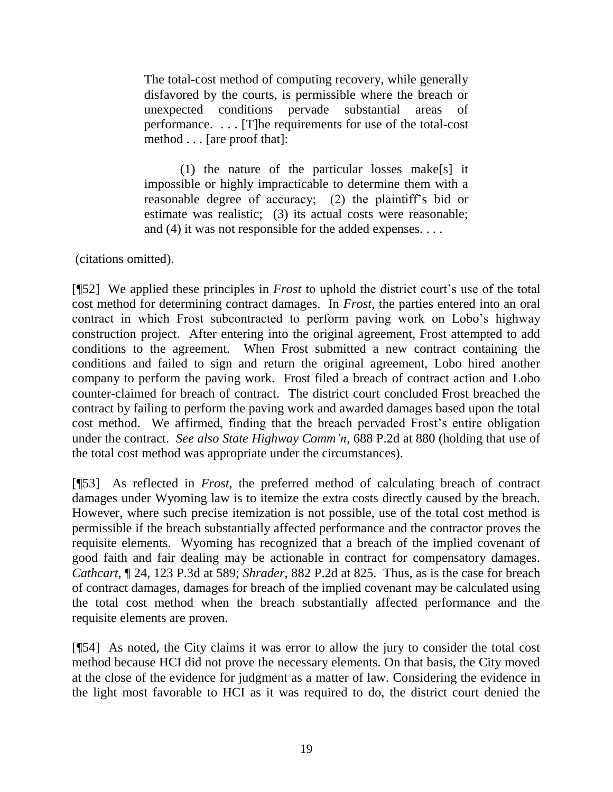The total-cost method of computing recovery, while generally disfavored by the courts, is permissible where the breach or unexpected conditions pervade substantial areas of performance. . . . [T]he requirements for use of the total-cost method . . . [are proof that]:

(1) the nature of the particular losses make[s] it impossible or highly impracticable to determine them with a reasonable degree of accuracy; (2) the plaintiff's bid or estimate was realistic; (3) its actual costs were reasonable; and (4) it was not responsible for the added expenses. . . .

(citations omitted).

[¶52] We applied these principles in *Frost* to uphold the district court's use of the total cost method for determining contract damages. In *Frost*, the parties entered into an oral contract in which Frost subcontracted to perform paving work on Lobo's highway construction project. After entering into the original agreement, Frost attempted to add conditions to the agreement. When Frost submitted a new contract containing the conditions and failed to sign and return the original agreement, Lobo hired another company to perform the paving work. Frost filed a breach of contract action and Lobo counter-claimed for breach of contract. The district court concluded Frost breached the contract by failing to perform the paving work and awarded damages based upon the total cost method. We affirmed, finding that the breach pervaded Frost's entire obligation under the contract. *See also State Highway Comm'n,* 688 P.2d at 880 (holding that use of the total cost method was appropriate under the circumstances).

[¶53] As reflected in *Frost*, the preferred method of calculating breach of contract damages under Wyoming law is to itemize the extra costs directly caused by the breach. However, where such precise itemization is not possible, use of the total cost method is permissible if the breach substantially affected performance and the contractor proves the requisite elements. Wyoming has recognized that a breach of the implied covenant of good faith and fair dealing may be actionable in contract for compensatory damages. *Cathcart,* ¶ 24, 123 P.3d at 589; *Shrader*, 882 P.2d at 825. Thus, as is the case for breach of contract damages, damages for breach of the implied covenant may be calculated using the total cost method when the breach substantially affected performance and the requisite elements are proven.

[¶54] As noted, the City claims it was error to allow the jury to consider the total cost method because HCI did not prove the necessary elements. On that basis, the City moved at the close of the evidence for judgment as a matter of law. Considering the evidence in the light most favorable to HCI as it was required to do, the district court denied the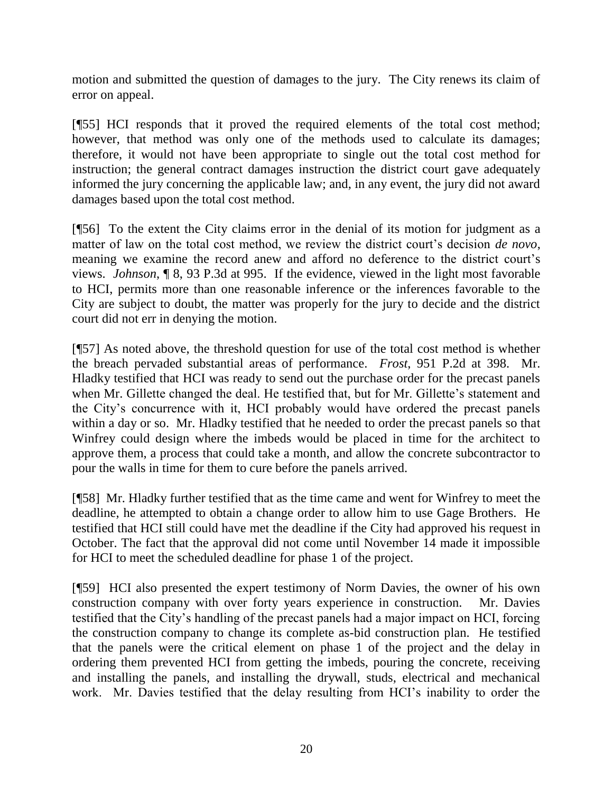motion and submitted the question of damages to the jury. The City renews its claim of error on appeal.

[¶55] HCI responds that it proved the required elements of the total cost method; however, that method was only one of the methods used to calculate its damages; therefore, it would not have been appropriate to single out the total cost method for instruction; the general contract damages instruction the district court gave adequately informed the jury concerning the applicable law; and, in any event, the jury did not award damages based upon the total cost method.

[¶56] To the extent the City claims error in the denial of its motion for judgment as a matter of law on the total cost method, we review the district court's decision *de novo*, meaning we examine the record anew and afford no deference to the district court's views. *Johnson*, ¶ 8, 93 P.3d at 995. If the evidence, viewed in the light most favorable to HCI, permits more than one reasonable inference or the inferences favorable to the City are subject to doubt, the matter was properly for the jury to decide and the district court did not err in denying the motion.

[¶57] As noted above, the threshold question for use of the total cost method is whether the breach pervaded substantial areas of performance. *Frost*, 951 P.2d at 398. Mr. Hladky testified that HCI was ready to send out the purchase order for the precast panels when Mr. Gillette changed the deal. He testified that, but for Mr. Gillette's statement and the City's concurrence with it, HCI probably would have ordered the precast panels within a day or so. Mr. Hladky testified that he needed to order the precast panels so that Winfrey could design where the imbeds would be placed in time for the architect to approve them, a process that could take a month, and allow the concrete subcontractor to pour the walls in time for them to cure before the panels arrived.

[¶58] Mr. Hladky further testified that as the time came and went for Winfrey to meet the deadline, he attempted to obtain a change order to allow him to use Gage Brothers. He testified that HCI still could have met the deadline if the City had approved his request in October. The fact that the approval did not come until November 14 made it impossible for HCI to meet the scheduled deadline for phase 1 of the project.

[¶59] HCI also presented the expert testimony of Norm Davies, the owner of his own construction company with over forty years experience in construction. Mr. Davies testified that the City's handling of the precast panels had a major impact on HCI, forcing the construction company to change its complete as-bid construction plan. He testified that the panels were the critical element on phase 1 of the project and the delay in ordering them prevented HCI from getting the imbeds, pouring the concrete, receiving and installing the panels, and installing the drywall, studs, electrical and mechanical work. Mr. Davies testified that the delay resulting from HCI's inability to order the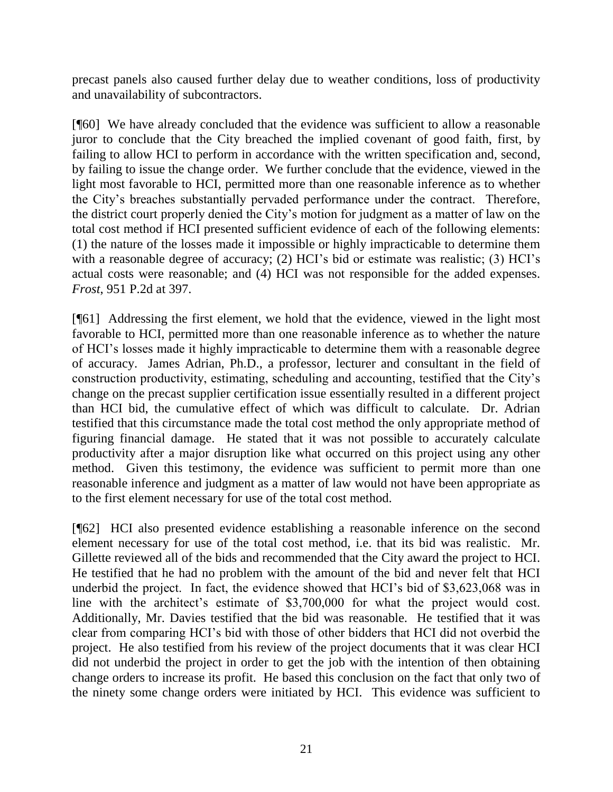precast panels also caused further delay due to weather conditions, loss of productivity and unavailability of subcontractors.

[¶60] We have already concluded that the evidence was sufficient to allow a reasonable juror to conclude that the City breached the implied covenant of good faith, first, by failing to allow HCI to perform in accordance with the written specification and, second, by failing to issue the change order. We further conclude that the evidence, viewed in the light most favorable to HCI, permitted more than one reasonable inference as to whether the City's breaches substantially pervaded performance under the contract. Therefore, the district court properly denied the City's motion for judgment as a matter of law on the total cost method if HCI presented sufficient evidence of each of the following elements: (1) the nature of the losses made it impossible or highly impracticable to determine them with a reasonable degree of accuracy; (2) HCI's bid or estimate was realistic; (3) HCI's actual costs were reasonable; and (4) HCI was not responsible for the added expenses. *Frost*, 951 P.2d at 397.

[¶61] Addressing the first element, we hold that the evidence, viewed in the light most favorable to HCI, permitted more than one reasonable inference as to whether the nature of HCI's losses made it highly impracticable to determine them with a reasonable degree of accuracy. James Adrian, Ph.D., a professor, lecturer and consultant in the field of construction productivity, estimating, scheduling and accounting, testified that the City's change on the precast supplier certification issue essentially resulted in a different project than HCI bid, the cumulative effect of which was difficult to calculate. Dr. Adrian testified that this circumstance made the total cost method the only appropriate method of figuring financial damage. He stated that it was not possible to accurately calculate productivity after a major disruption like what occurred on this project using any other method. Given this testimony, the evidence was sufficient to permit more than one reasonable inference and judgment as a matter of law would not have been appropriate as to the first element necessary for use of the total cost method.

[¶62] HCI also presented evidence establishing a reasonable inference on the second element necessary for use of the total cost method, i.e. that its bid was realistic. Mr. Gillette reviewed all of the bids and recommended that the City award the project to HCI. He testified that he had no problem with the amount of the bid and never felt that HCI underbid the project. In fact, the evidence showed that HCI's bid of \$3,623,068 was in line with the architect's estimate of \$3,700,000 for what the project would cost. Additionally, Mr. Davies testified that the bid was reasonable. He testified that it was clear from comparing HCI's bid with those of other bidders that HCI did not overbid the project. He also testified from his review of the project documents that it was clear HCI did not underbid the project in order to get the job with the intention of then obtaining change orders to increase its profit. He based this conclusion on the fact that only two of the ninety some change orders were initiated by HCI. This evidence was sufficient to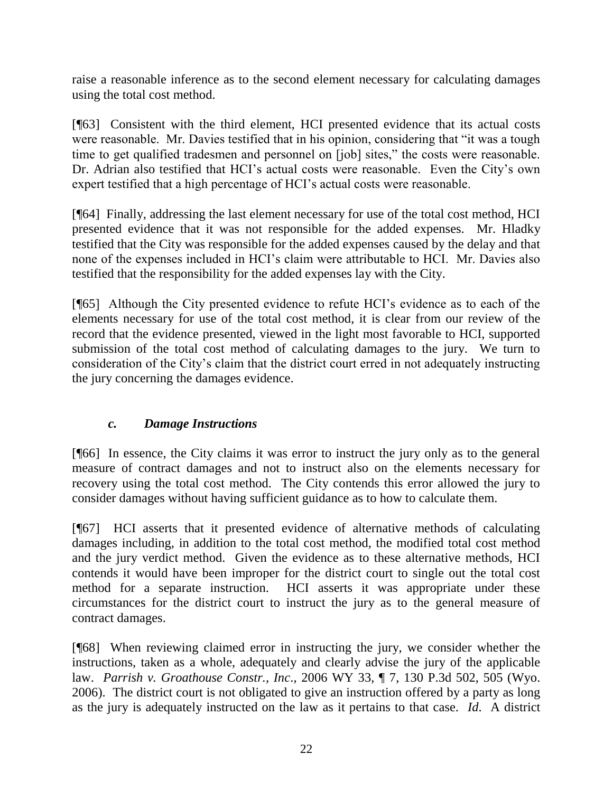raise a reasonable inference as to the second element necessary for calculating damages using the total cost method.

[¶63] Consistent with the third element, HCI presented evidence that its actual costs were reasonable. Mr. Davies testified that in his opinion, considering that "it was a tough time to get qualified tradesmen and personnel on [job] sites," the costs were reasonable. Dr. Adrian also testified that HCI's actual costs were reasonable. Even the City's own expert testified that a high percentage of HCI's actual costs were reasonable.

[¶64] Finally, addressing the last element necessary for use of the total cost method, HCI presented evidence that it was not responsible for the added expenses. Mr. Hladky testified that the City was responsible for the added expenses caused by the delay and that none of the expenses included in HCI's claim were attributable to HCI. Mr. Davies also testified that the responsibility for the added expenses lay with the City.

[¶65] Although the City presented evidence to refute HCI's evidence as to each of the elements necessary for use of the total cost method, it is clear from our review of the record that the evidence presented, viewed in the light most favorable to HCI, supported submission of the total cost method of calculating damages to the jury. We turn to consideration of the City's claim that the district court erred in not adequately instructing the jury concerning the damages evidence.

# *c. Damage Instructions*

[¶66] In essence, the City claims it was error to instruct the jury only as to the general measure of contract damages and not to instruct also on the elements necessary for recovery using the total cost method. The City contends this error allowed the jury to consider damages without having sufficient guidance as to how to calculate them.

[¶67] HCI asserts that it presented evidence of alternative methods of calculating damages including, in addition to the total cost method, the modified total cost method and the jury verdict method. Given the evidence as to these alternative methods, HCI contends it would have been improper for the district court to single out the total cost method for a separate instruction. HCI asserts it was appropriate under these circumstances for the district court to instruct the jury as to the general measure of contract damages.

[¶68] When reviewing claimed error in instructing the jury, we consider whether the instructions, taken as a whole, adequately and clearly advise the jury of the applicable law. *Parrish v. Groathouse Constr., Inc*., 2006 WY 33, ¶ 7, 130 P.3d 502, 505 (Wyo. 2006). The district court is not obligated to give an instruction offered by a party as long as the jury is adequately instructed on the law as it pertains to that case. *Id*. A district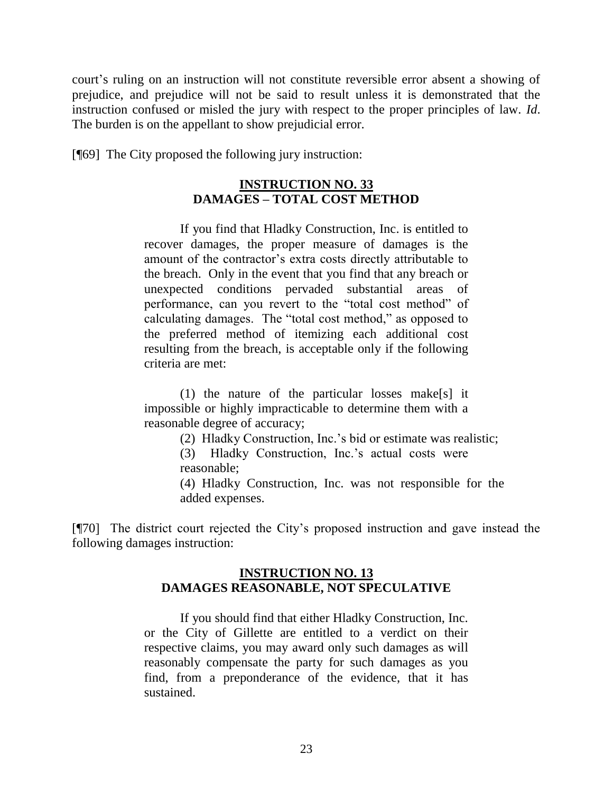court's ruling on an instruction will not constitute reversible error absent a showing of prejudice, and prejudice will not be said to result unless it is demonstrated that the instruction confused or misled the jury with respect to the proper principles of law. *Id*. The burden is on the appellant to show prejudicial error.

[¶69] The City proposed the following jury instruction:

### **INSTRUCTION NO. 33 DAMAGES – TOTAL COST METHOD**

If you find that Hladky Construction, Inc. is entitled to recover damages, the proper measure of damages is the amount of the contractor's extra costs directly attributable to the breach. Only in the event that you find that any breach or unexpected conditions pervaded substantial areas of performance, can you revert to the "total cost method" of calculating damages. The "total cost method," as opposed to the preferred method of itemizing each additional cost resulting from the breach, is acceptable only if the following criteria are met:

(1) the nature of the particular losses make[s] it impossible or highly impracticable to determine them with a reasonable degree of accuracy;

(2) Hladky Construction, Inc.'s bid or estimate was realistic;

(3) Hladky Construction, Inc.'s actual costs were reasonable;

(4) Hladky Construction, Inc. was not responsible for the added expenses.

[¶70] The district court rejected the City's proposed instruction and gave instead the following damages instruction:

### **INSTRUCTION NO. 13 DAMAGES REASONABLE, NOT SPECULATIVE**

If you should find that either Hladky Construction, Inc. or the City of Gillette are entitled to a verdict on their respective claims, you may award only such damages as will reasonably compensate the party for such damages as you find, from a preponderance of the evidence, that it has sustained.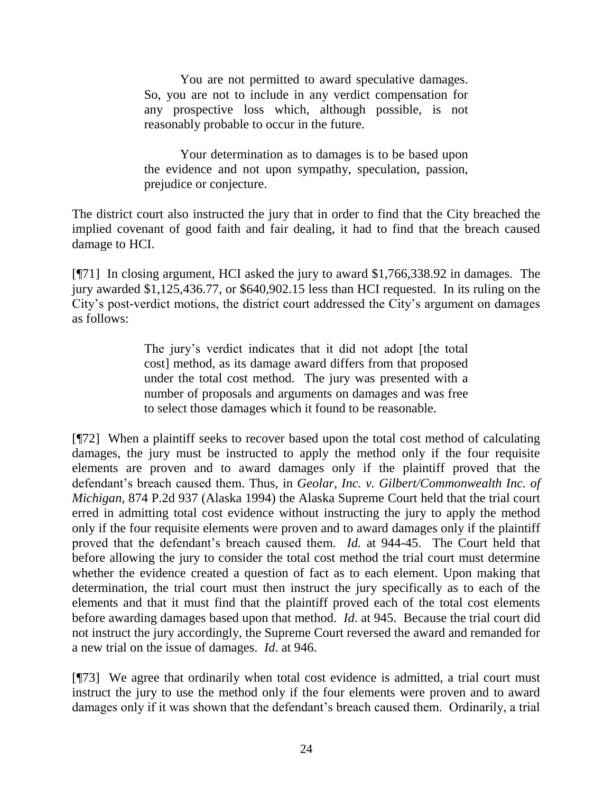You are not permitted to award speculative damages. So, you are not to include in any verdict compensation for any prospective loss which, although possible, is not reasonably probable to occur in the future.

Your determination as to damages is to be based upon the evidence and not upon sympathy, speculation, passion, prejudice or conjecture.

The district court also instructed the jury that in order to find that the City breached the implied covenant of good faith and fair dealing, it had to find that the breach caused damage to HCI.

[¶71] In closing argument, HCI asked the jury to award \$1,766,338.92 in damages. The jury awarded \$1,125,436.77, or \$640,902.15 less than HCI requested. In its ruling on the City's post-verdict motions, the district court addressed the City's argument on damages as follows:

> The jury's verdict indicates that it did not adopt [the total cost] method, as its damage award differs from that proposed under the total cost method. The jury was presented with a number of proposals and arguments on damages and was free to select those damages which it found to be reasonable.

[¶72] When a plaintiff seeks to recover based upon the total cost method of calculating damages, the jury must be instructed to apply the method only if the four requisite elements are proven and to award damages only if the plaintiff proved that the defendant's breach caused them. Thus, in *Geolar, Inc. v. Gilbert/Commonwealth Inc. of Michigan*, 874 P.2d 937 (Alaska 1994) the Alaska Supreme Court held that the trial court erred in admitting total cost evidence without instructing the jury to apply the method only if the four requisite elements were proven and to award damages only if the plaintiff proved that the defendant's breach caused them. *Id.* at 944-45. The Court held that before allowing the jury to consider the total cost method the trial court must determine whether the evidence created a question of fact as to each element. Upon making that determination, the trial court must then instruct the jury specifically as to each of the elements and that it must find that the plaintiff proved each of the total cost elements before awarding damages based upon that method. *Id*. at 945. Because the trial court did not instruct the jury accordingly, the Supreme Court reversed the award and remanded for a new trial on the issue of damages. *Id*. at 946.

[¶73] We agree that ordinarily when total cost evidence is admitted, a trial court must instruct the jury to use the method only if the four elements were proven and to award damages only if it was shown that the defendant's breach caused them. Ordinarily, a trial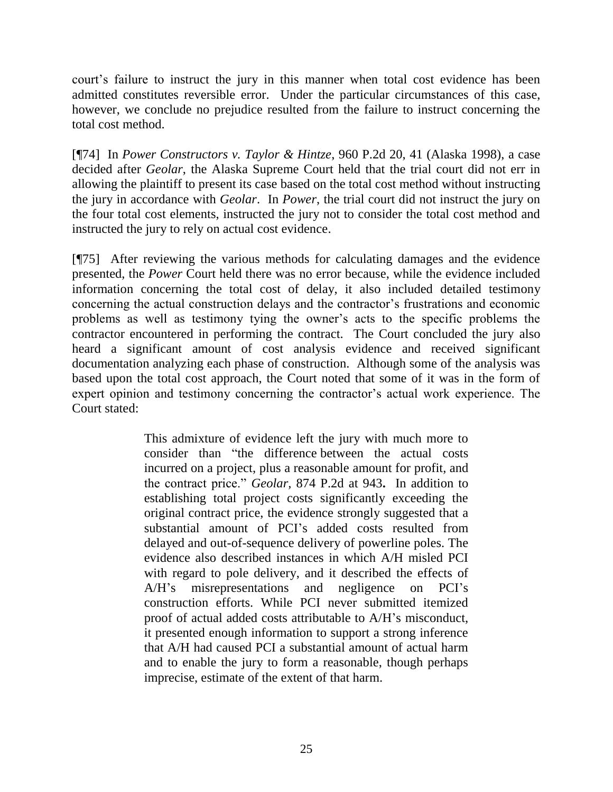court's failure to instruct the jury in this manner when total cost evidence has been admitted constitutes reversible error. Under the particular circumstances of this case, however, we conclude no prejudice resulted from the failure to instruct concerning the total cost method.

[¶74] In *Power Constructors v. Taylor & Hintze*, 960 P.2d 20, 41 (Alaska 1998), a case decided after *Geolar*, the Alaska Supreme Court held that the trial court did not err in allowing the plaintiff to present its case based on the total cost method without instructing the jury in accordance with *Geolar*. In *Power*, the trial court did not instruct the jury on the four total cost elements, instructed the jury not to consider the total cost method and instructed the jury to rely on actual cost evidence.

[¶75] After reviewing the various methods for calculating damages and the evidence presented, the *Power* Court held there was no error because, while the evidence included information concerning the total cost of delay, it also included detailed testimony concerning the actual construction delays and the contractor's frustrations and economic problems as well as testimony tying the owner's acts to the specific problems the contractor encountered in performing the contract. The Court concluded the jury also heard a significant amount of cost analysis evidence and received significant documentation analyzing each phase of construction. Although some of the analysis was based upon the total cost approach, the Court noted that some of it was in the form of expert opinion and testimony concerning the contractor's actual work experience. The Court stated:

> This admixture of evidence left the jury with much more to consider than "the difference between the actual costs incurred on a project, plus a reasonable amount for profit, and the contract price." *Geolar,* [874 P.2d](http://www.lexis.com/research/buttonTFLink?_m=08e553d41cfcefe711f2c338313f9d28&_xfercite=%3ccite%20cc%3d%22USA%22%3e%3c%21%5bCDATA%5b960%20P.2d%2020%5d%5d%3e%3c%2fcite%3e&_butType=3&_butStat=2&_butNum=163&_butInline=1&_butinfo=%3ccite%20cc%3d%22USA%22%3e%3c%21%5bCDATA%5b874%20P.2d%20937%2c%20943%5d%5d%3e%3c%2fcite%3e&_fmtstr=FULL&docnum=1&_startdoc=1&wchp=dGLbVtz-zSkAt&_md5=66728f9114211b3d86501cdc0476c071) at 943**.** In addition to establishing total project costs significantly exceeding the original contract price, the evidence strongly suggested that a substantial amount of PCI's added costs resulted from delayed and out-of-sequence delivery of powerline poles. The evidence also described instances in which A/H misled PCI with regard to pole delivery, and it described the effects of A/H's misrepresentations and negligence on PCI's construction efforts. While PCI never submitted itemized proof of actual added costs attributable to A/H's misconduct, it presented enough information to support a strong inference that A/H had caused PCI a substantial amount of actual harm and to enable the jury to form a reasonable, though perhaps imprecise, estimate of the extent of that harm.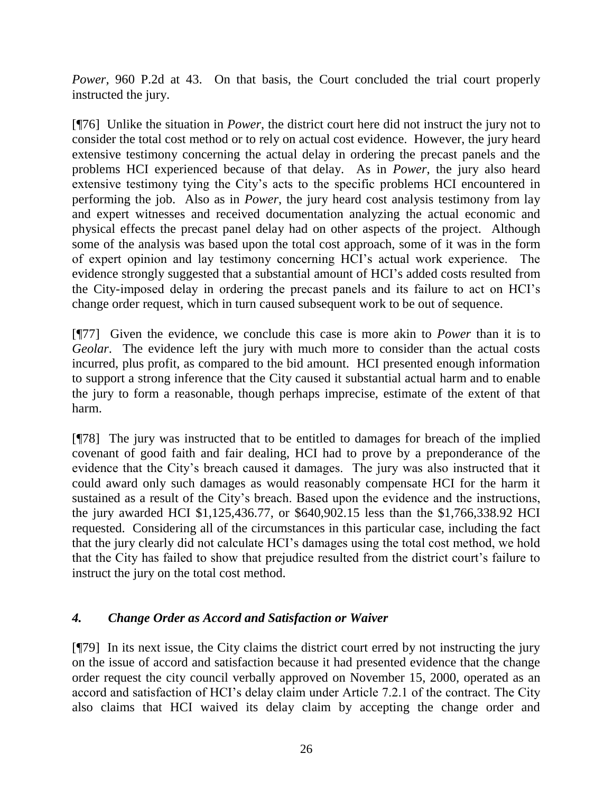*Power,* 960 P.2d at 43. On that basis, the Court concluded the trial court properly instructed the jury.

[¶76] Unlike the situation in *Power*, the district court here did not instruct the jury not to consider the total cost method or to rely on actual cost evidence. However, the jury heard extensive testimony concerning the actual delay in ordering the precast panels and the problems HCI experienced because of that delay. As in *Power*, the jury also heard extensive testimony tying the City's acts to the specific problems HCI encountered in performing the job. Also as in *Power*, the jury heard cost analysis testimony from lay and expert witnesses and received documentation analyzing the actual economic and physical effects the precast panel delay had on other aspects of the project. Although some of the analysis was based upon the total cost approach, some of it was in the form of expert opinion and lay testimony concerning HCI's actual work experience. The evidence strongly suggested that a substantial amount of HCI's added costs resulted from the City-imposed delay in ordering the precast panels and its failure to act on HCI's change order request, which in turn caused subsequent work to be out of sequence.

[¶77] Given the evidence, we conclude this case is more akin to *Power* than it is to *Geolar*. The evidence left the jury with much more to consider than the actual costs incurred, plus profit, as compared to the bid amount. HCI presented enough information to support a strong inference that the City caused it substantial actual harm and to enable the jury to form a reasonable, though perhaps imprecise, estimate of the extent of that harm.

[¶78] The jury was instructed that to be entitled to damages for breach of the implied covenant of good faith and fair dealing, HCI had to prove by a preponderance of the evidence that the City's breach caused it damages. The jury was also instructed that it could award only such damages as would reasonably compensate HCI for the harm it sustained as a result of the City's breach. Based upon the evidence and the instructions, the jury awarded HCI \$1,125,436.77, or \$640,902.15 less than the \$1,766,338.92 HCI requested. Considering all of the circumstances in this particular case, including the fact that the jury clearly did not calculate HCI's damages using the total cost method, we hold that the City has failed to show that prejudice resulted from the district court's failure to instruct the jury on the total cost method.

## *4. Change Order as Accord and Satisfaction or Waiver*

[¶79] In its next issue, the City claims the district court erred by not instructing the jury on the issue of accord and satisfaction because it had presented evidence that the change order request the city council verbally approved on November 15, 2000, operated as an accord and satisfaction of HCI's delay claim under Article 7.2.1 of the contract. The City also claims that HCI waived its delay claim by accepting the change order and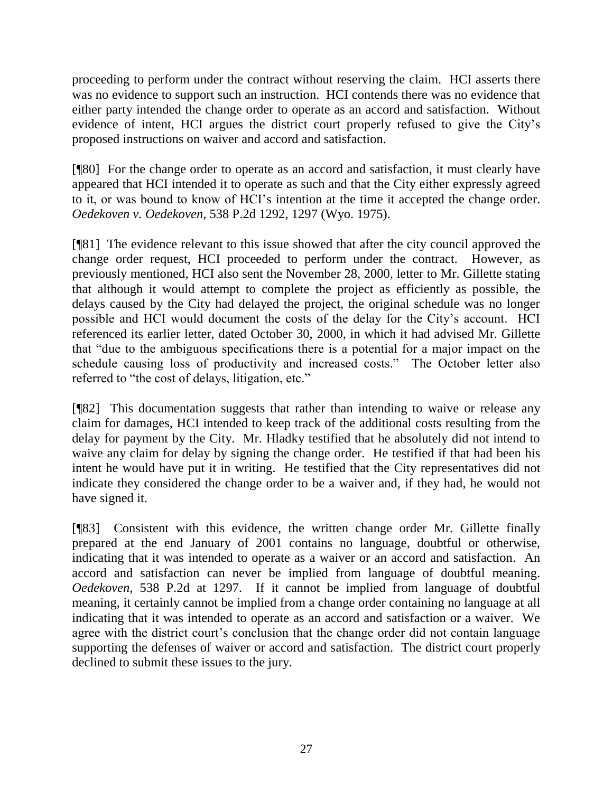proceeding to perform under the contract without reserving the claim. HCI asserts there was no evidence to support such an instruction. HCI contends there was no evidence that either party intended the change order to operate as an accord and satisfaction. Without evidence of intent, HCI argues the district court properly refused to give the City's proposed instructions on waiver and accord and satisfaction.

[¶80] For the change order to operate as an accord and satisfaction, it must clearly have appeared that HCI intended it to operate as such and that the City either expressly agreed to it, or was bound to know of HCI's intention at the time it accepted the change order. *Oedekoven v. Oedekoven*, 538 P.2d 1292, 1297 (Wyo. 1975).

[¶81] The evidence relevant to this issue showed that after the city council approved the change order request, HCI proceeded to perform under the contract. However, as previously mentioned, HCI also sent the November 28, 2000, letter to Mr. Gillette stating that although it would attempt to complete the project as efficiently as possible, the delays caused by the City had delayed the project, the original schedule was no longer possible and HCI would document the costs of the delay for the City's account. HCI referenced its earlier letter, dated October 30, 2000, in which it had advised Mr. Gillette that "due to the ambiguous specifications there is a potential for a major impact on the schedule causing loss of productivity and increased costs." The October letter also referred to "the cost of delays, litigation, etc."

[¶82] This documentation suggests that rather than intending to waive or release any claim for damages, HCI intended to keep track of the additional costs resulting from the delay for payment by the City. Mr. Hladky testified that he absolutely did not intend to waive any claim for delay by signing the change order. He testified if that had been his intent he would have put it in writing. He testified that the City representatives did not indicate they considered the change order to be a waiver and, if they had, he would not have signed it.

[¶83] Consistent with this evidence, the written change order Mr. Gillette finally prepared at the end January of 2001 contains no language, doubtful or otherwise, indicating that it was intended to operate as a waiver or an accord and satisfaction. An accord and satisfaction can never be implied from language of doubtful meaning. *Oedekoven*, 538 P.2d at 1297. If it cannot be implied from language of doubtful meaning, it certainly cannot be implied from a change order containing no language at all indicating that it was intended to operate as an accord and satisfaction or a waiver. We agree with the district court's conclusion that the change order did not contain language supporting the defenses of waiver or accord and satisfaction. The district court properly declined to submit these issues to the jury.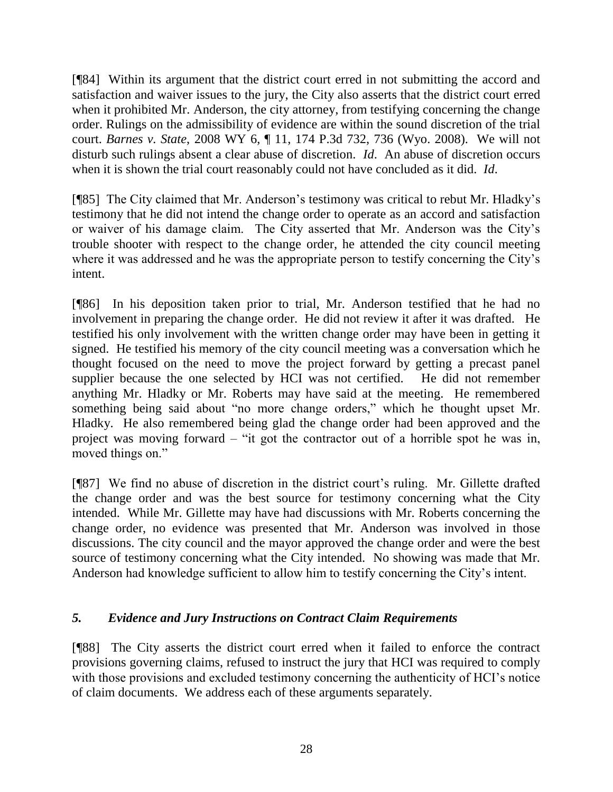[¶84] Within its argument that the district court erred in not submitting the accord and satisfaction and waiver issues to the jury, the City also asserts that the district court erred when it prohibited Mr. Anderson, the city attorney, from testifying concerning the change order. Rulings on the admissibility of evidence are within the sound discretion of the trial court. *Barnes v. State*, 2008 WY 6, ¶ 11, 174 P.3d 732, 736 (Wyo. 2008). We will not disturb such rulings absent a clear abuse of discretion. *Id*. An abuse of discretion occurs when it is shown the trial court reasonably could not have concluded as it did. *Id*.

[¶85] The City claimed that Mr. Anderson's testimony was critical to rebut Mr. Hladky's testimony that he did not intend the change order to operate as an accord and satisfaction or waiver of his damage claim. The City asserted that Mr. Anderson was the City's trouble shooter with respect to the change order, he attended the city council meeting where it was addressed and he was the appropriate person to testify concerning the City's intent.

[¶86] In his deposition taken prior to trial, Mr. Anderson testified that he had no involvement in preparing the change order. He did not review it after it was drafted. He testified his only involvement with the written change order may have been in getting it signed. He testified his memory of the city council meeting was a conversation which he thought focused on the need to move the project forward by getting a precast panel supplier because the one selected by HCI was not certified. He did not remember anything Mr. Hladky or Mr. Roberts may have said at the meeting. He remembered something being said about "no more change orders," which he thought upset Mr. Hladky. He also remembered being glad the change order had been approved and the project was moving forward – "it got the contractor out of a horrible spot he was in, moved things on."

[¶87] We find no abuse of discretion in the district court's ruling. Mr. Gillette drafted the change order and was the best source for testimony concerning what the City intended. While Mr. Gillette may have had discussions with Mr. Roberts concerning the change order, no evidence was presented that Mr. Anderson was involved in those discussions. The city council and the mayor approved the change order and were the best source of testimony concerning what the City intended. No showing was made that Mr. Anderson had knowledge sufficient to allow him to testify concerning the City's intent.

## *5. Evidence and Jury Instructions on Contract Claim Requirements*

[¶88] The City asserts the district court erred when it failed to enforce the contract provisions governing claims, refused to instruct the jury that HCI was required to comply with those provisions and excluded testimony concerning the authenticity of HCI's notice of claim documents. We address each of these arguments separately.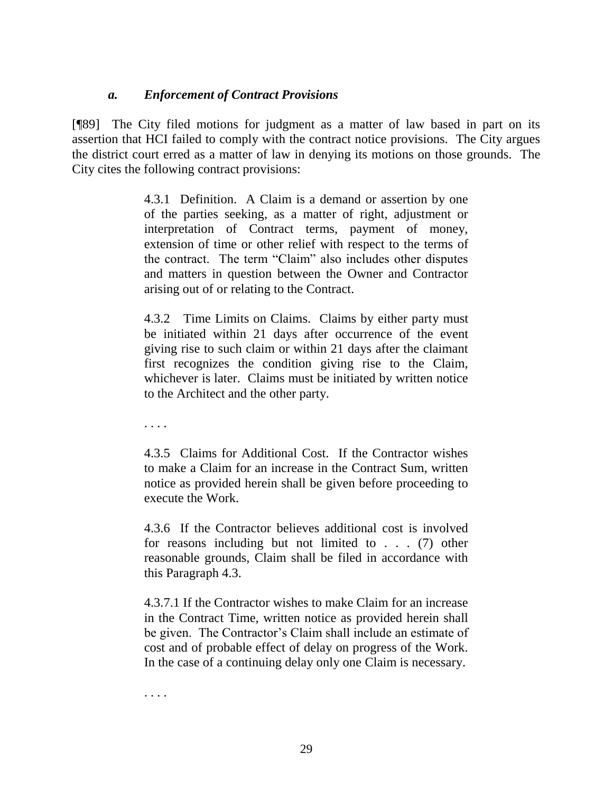### *a. Enforcement of Contract Provisions*

[¶89] The City filed motions for judgment as a matter of law based in part on its assertion that HCI failed to comply with the contract notice provisions. The City argues the district court erred as a matter of law in denying its motions on those grounds. The City cites the following contract provisions:

> 4.3.1 Definition. A Claim is a demand or assertion by one of the parties seeking, as a matter of right, adjustment or interpretation of Contract terms, payment of money, extension of time or other relief with respect to the terms of the contract. The term "Claim" also includes other disputes and matters in question between the Owner and Contractor arising out of or relating to the Contract.

> 4.3.2 Time Limits on Claims. Claims by either party must be initiated within 21 days after occurrence of the event giving rise to such claim or within 21 days after the claimant first recognizes the condition giving rise to the Claim, whichever is later. Claims must be initiated by written notice to the Architect and the other party.

. . . .

4.3.5 Claims for Additional Cost. If the Contractor wishes to make a Claim for an increase in the Contract Sum, written notice as provided herein shall be given before proceeding to execute the Work.

4.3.6 If the Contractor believes additional cost is involved for reasons including but not limited to . . . (7) other reasonable grounds, Claim shall be filed in accordance with this Paragraph 4.3.

4.3.7.1 If the Contractor wishes to make Claim for an increase in the Contract Time, written notice as provided herein shall be given. The Contractor's Claim shall include an estimate of cost and of probable effect of delay on progress of the Work. In the case of a continuing delay only one Claim is necessary.

. . . .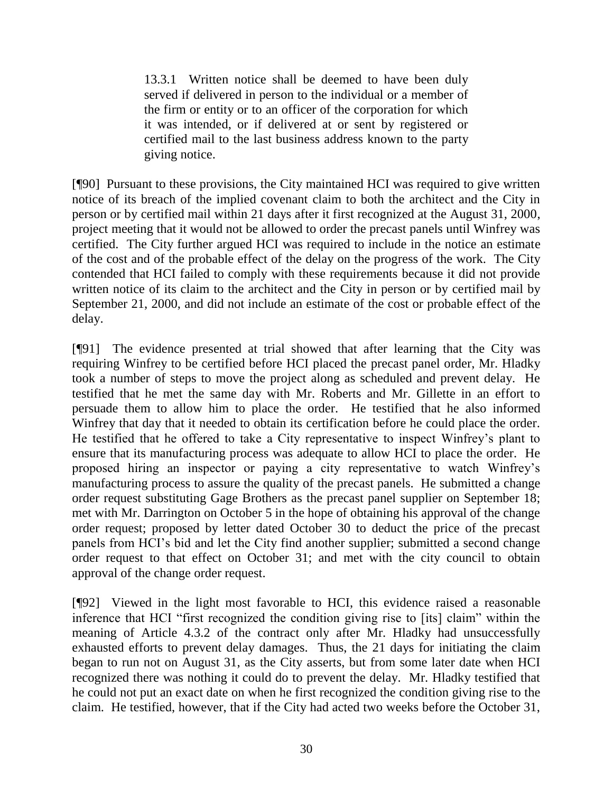13.3.1 Written notice shall be deemed to have been duly served if delivered in person to the individual or a member of the firm or entity or to an officer of the corporation for which it was intended, or if delivered at or sent by registered or certified mail to the last business address known to the party giving notice.

[¶90] Pursuant to these provisions, the City maintained HCI was required to give written notice of its breach of the implied covenant claim to both the architect and the City in person or by certified mail within 21 days after it first recognized at the August 31, 2000, project meeting that it would not be allowed to order the precast panels until Winfrey was certified. The City further argued HCI was required to include in the notice an estimate of the cost and of the probable effect of the delay on the progress of the work. The City contended that HCI failed to comply with these requirements because it did not provide written notice of its claim to the architect and the City in person or by certified mail by September 21, 2000, and did not include an estimate of the cost or probable effect of the delay.

[¶91] The evidence presented at trial showed that after learning that the City was requiring Winfrey to be certified before HCI placed the precast panel order, Mr. Hladky took a number of steps to move the project along as scheduled and prevent delay. He testified that he met the same day with Mr. Roberts and Mr. Gillette in an effort to persuade them to allow him to place the order. He testified that he also informed Winfrey that day that it needed to obtain its certification before he could place the order. He testified that he offered to take a City representative to inspect Winfrey's plant to ensure that its manufacturing process was adequate to allow HCI to place the order. He proposed hiring an inspector or paying a city representative to watch Winfrey's manufacturing process to assure the quality of the precast panels. He submitted a change order request substituting Gage Brothers as the precast panel supplier on September 18; met with Mr. Darrington on October 5 in the hope of obtaining his approval of the change order request; proposed by letter dated October 30 to deduct the price of the precast panels from HCI's bid and let the City find another supplier; submitted a second change order request to that effect on October 31; and met with the city council to obtain approval of the change order request.

[¶92] Viewed in the light most favorable to HCI, this evidence raised a reasonable inference that HCI "first recognized the condition giving rise to [its] claim" within the meaning of Article 4.3.2 of the contract only after Mr. Hladky had unsuccessfully exhausted efforts to prevent delay damages. Thus, the 21 days for initiating the claim began to run not on August 31, as the City asserts, but from some later date when HCI recognized there was nothing it could do to prevent the delay. Mr. Hladky testified that he could not put an exact date on when he first recognized the condition giving rise to the claim. He testified, however, that if the City had acted two weeks before the October 31,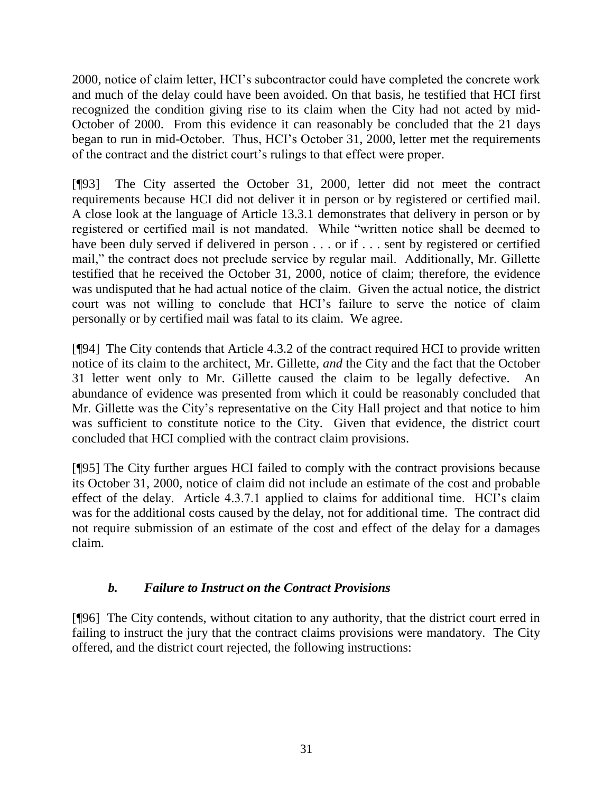2000, notice of claim letter, HCI's subcontractor could have completed the concrete work and much of the delay could have been avoided. On that basis, he testified that HCI first recognized the condition giving rise to its claim when the City had not acted by mid-October of 2000. From this evidence it can reasonably be concluded that the 21 days began to run in mid-October. Thus, HCI's October 31, 2000, letter met the requirements of the contract and the district court's rulings to that effect were proper.

[¶93] The City asserted the October 31, 2000, letter did not meet the contract requirements because HCI did not deliver it in person or by registered or certified mail. A close look at the language of Article 13.3.1 demonstrates that delivery in person or by registered or certified mail is not mandated. While "written notice shall be deemed to have been duly served if delivered in person . . . or if . . . sent by registered or certified mail," the contract does not preclude service by regular mail. Additionally, Mr. Gillette testified that he received the October 31, 2000, notice of claim; therefore, the evidence was undisputed that he had actual notice of the claim. Given the actual notice, the district court was not willing to conclude that HCI's failure to serve the notice of claim personally or by certified mail was fatal to its claim. We agree.

[¶94] The City contends that Article 4.3.2 of the contract required HCI to provide written notice of its claim to the architect, Mr. Gillette, *and* the City and the fact that the October 31 letter went only to Mr. Gillette caused the claim to be legally defective. An abundance of evidence was presented from which it could be reasonably concluded that Mr. Gillette was the City's representative on the City Hall project and that notice to him was sufficient to constitute notice to the City. Given that evidence, the district court concluded that HCI complied with the contract claim provisions.

[¶95] The City further argues HCI failed to comply with the contract provisions because its October 31, 2000, notice of claim did not include an estimate of the cost and probable effect of the delay. Article 4.3.7.1 applied to claims for additional time. HCI's claim was for the additional costs caused by the delay, not for additional time. The contract did not require submission of an estimate of the cost and effect of the delay for a damages claim.

# *b. Failure to Instruct on the Contract Provisions*

[¶96] The City contends, without citation to any authority, that the district court erred in failing to instruct the jury that the contract claims provisions were mandatory. The City offered, and the district court rejected, the following instructions: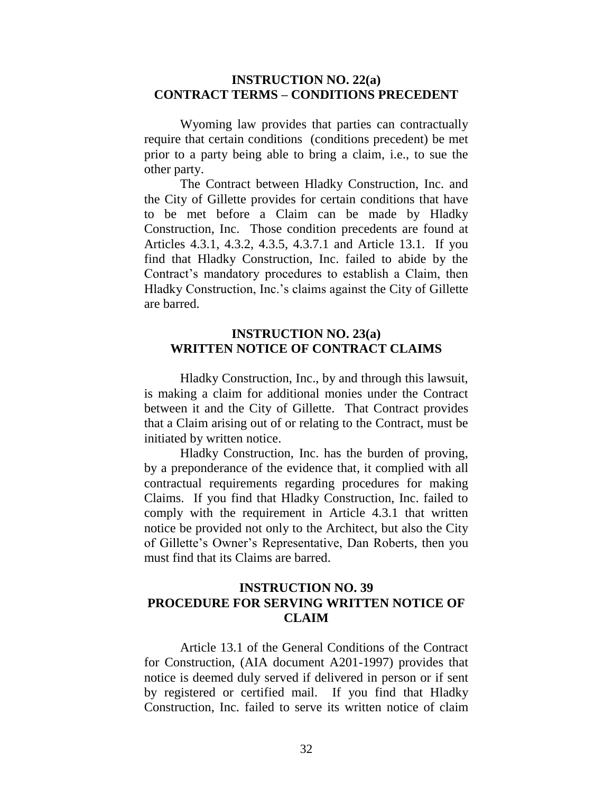#### **INSTRUCTION NO. 22(a) CONTRACT TERMS – CONDITIONS PRECEDENT**

Wyoming law provides that parties can contractually require that certain conditions (conditions precedent) be met prior to a party being able to bring a claim, i.e., to sue the other party.

The Contract between Hladky Construction, Inc. and the City of Gillette provides for certain conditions that have to be met before a Claim can be made by Hladky Construction, Inc. Those condition precedents are found at Articles 4.3.1, 4.3.2, 4.3.5, 4.3.7.1 and Article 13.1. If you find that Hladky Construction, Inc. failed to abide by the Contract's mandatory procedures to establish a Claim, then Hladky Construction, Inc.'s claims against the City of Gillette are barred.

#### **INSTRUCTION NO. 23(a) WRITTEN NOTICE OF CONTRACT CLAIMS**

Hladky Construction, Inc., by and through this lawsuit, is making a claim for additional monies under the Contract between it and the City of Gillette. That Contract provides that a Claim arising out of or relating to the Contract, must be initiated by written notice.

Hladky Construction, Inc. has the burden of proving, by a preponderance of the evidence that, it complied with all contractual requirements regarding procedures for making Claims. If you find that Hladky Construction, Inc. failed to comply with the requirement in Article 4.3.1 that written notice be provided not only to the Architect, but also the City of Gillette's Owner's Representative, Dan Roberts, then you must find that its Claims are barred.

### **INSTRUCTION NO. 39 PROCEDURE FOR SERVING WRITTEN NOTICE OF CLAIM**

Article 13.1 of the General Conditions of the Contract for Construction, (AIA document A201-1997) provides that notice is deemed duly served if delivered in person or if sent by registered or certified mail. If you find that Hladky Construction, Inc. failed to serve its written notice of claim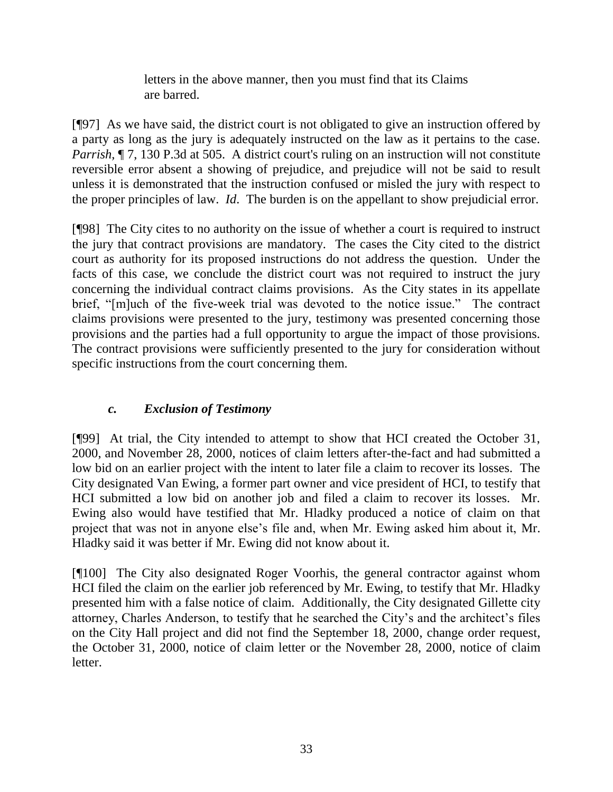letters in the above manner, then you must find that its Claims are barred.

[¶97] As we have said, the district court is not obligated to give an instruction offered by a party as long as the jury is adequately instructed on the law as it pertains to the case. *Parrish*,  $\P$  7, 130 P.3d at 505. A district court's ruling on an instruction will not constitute reversible error absent a showing of prejudice, and prejudice will not be said to result unless it is demonstrated that the instruction confused or misled the jury with respect to the proper principles of law. *Id*. The burden is on the appellant to show prejudicial error.

[¶98] The City cites to no authority on the issue of whether a court is required to instruct the jury that contract provisions are mandatory. The cases the City cited to the district court as authority for its proposed instructions do not address the question. Under the facts of this case, we conclude the district court was not required to instruct the jury concerning the individual contract claims provisions. As the City states in its appellate brief, "[m]uch of the five-week trial was devoted to the notice issue." The contract claims provisions were presented to the jury, testimony was presented concerning those provisions and the parties had a full opportunity to argue the impact of those provisions. The contract provisions were sufficiently presented to the jury for consideration without specific instructions from the court concerning them.

# *c. Exclusion of Testimony*

[¶99] At trial, the City intended to attempt to show that HCI created the October 31, 2000, and November 28, 2000, notices of claim letters after-the-fact and had submitted a low bid on an earlier project with the intent to later file a claim to recover its losses. The City designated Van Ewing, a former part owner and vice president of HCI, to testify that HCI submitted a low bid on another job and filed a claim to recover its losses. Mr. Ewing also would have testified that Mr. Hladky produced a notice of claim on that project that was not in anyone else's file and, when Mr. Ewing asked him about it, Mr. Hladky said it was better if Mr. Ewing did not know about it.

[¶100] The City also designated Roger Voorhis, the general contractor against whom HCI filed the claim on the earlier job referenced by Mr. Ewing, to testify that Mr. Hladky presented him with a false notice of claim. Additionally, the City designated Gillette city attorney, Charles Anderson, to testify that he searched the City's and the architect's files on the City Hall project and did not find the September 18, 2000, change order request, the October 31, 2000, notice of claim letter or the November 28, 2000, notice of claim letter.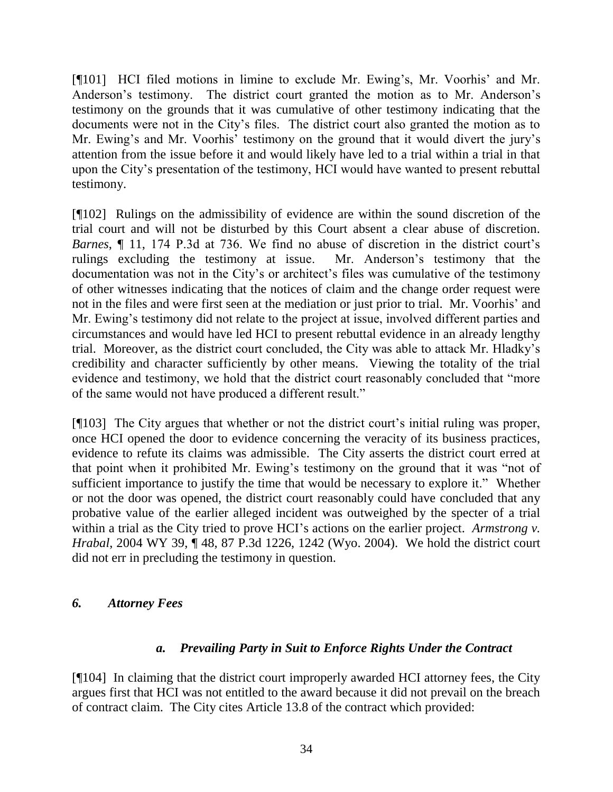[¶101] HCI filed motions in limine to exclude Mr. Ewing's, Mr. Voorhis' and Mr. Anderson's testimony. The district court granted the motion as to Mr. Anderson's testimony on the grounds that it was cumulative of other testimony indicating that the documents were not in the City's files. The district court also granted the motion as to Mr. Ewing's and Mr. Voorhis' testimony on the ground that it would divert the jury's attention from the issue before it and would likely have led to a trial within a trial in that upon the City's presentation of the testimony, HCI would have wanted to present rebuttal testimony.

[¶102] Rulings on the admissibility of evidence are within the sound discretion of the trial court and will not be disturbed by this Court absent a clear abuse of discretion. *Barnes*, ¶ 11, 174 P.3d at 736. We find no abuse of discretion in the district court's rulings excluding the testimony at issue. Mr. Anderson's testimony that the documentation was not in the City's or architect's files was cumulative of the testimony of other witnesses indicating that the notices of claim and the change order request were not in the files and were first seen at the mediation or just prior to trial. Mr. Voorhis' and Mr. Ewing's testimony did not relate to the project at issue, involved different parties and circumstances and would have led HCI to present rebuttal evidence in an already lengthy trial. Moreover, as the district court concluded, the City was able to attack Mr. Hladky's credibility and character sufficiently by other means. Viewing the totality of the trial evidence and testimony, we hold that the district court reasonably concluded that "more of the same would not have produced a different result."

[¶103] The City argues that whether or not the district court's initial ruling was proper, once HCI opened the door to evidence concerning the veracity of its business practices, evidence to refute its claims was admissible. The City asserts the district court erred at that point when it prohibited Mr. Ewing's testimony on the ground that it was "not of sufficient importance to justify the time that would be necessary to explore it." Whether or not the door was opened, the district court reasonably could have concluded that any probative value of the earlier alleged incident was outweighed by the specter of a trial within a trial as the City tried to prove HCI's actions on the earlier project. *Armstrong v. Hrabal*, 2004 WY 39, ¶ 48, 87 P.3d 1226, 1242 (Wyo. 2004). We hold the district court did not err in precluding the testimony in question.

## *6. Attorney Fees*

## *a. Prevailing Party in Suit to Enforce Rights Under the Contract*

[¶104] In claiming that the district court improperly awarded HCI attorney fees, the City argues first that HCI was not entitled to the award because it did not prevail on the breach of contract claim. The City cites Article 13.8 of the contract which provided: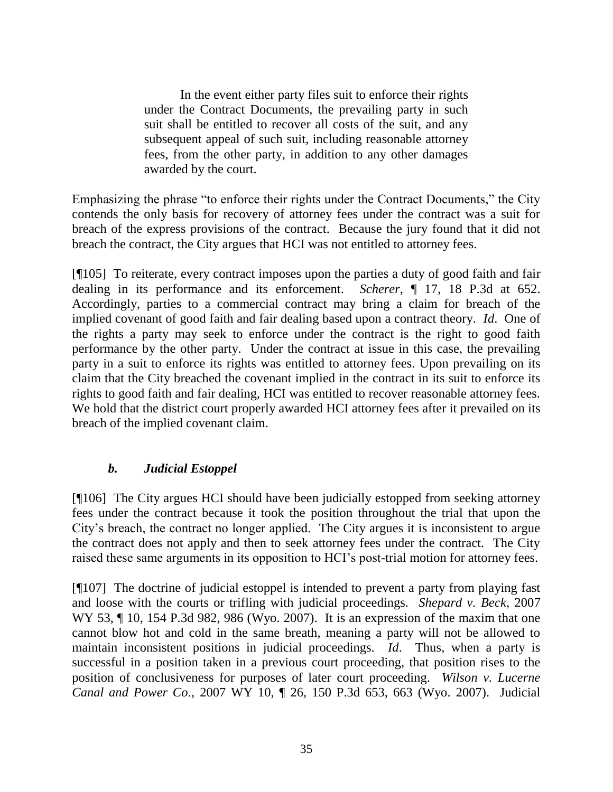In the event either party files suit to enforce their rights under the Contract Documents, the prevailing party in such suit shall be entitled to recover all costs of the suit, and any subsequent appeal of such suit, including reasonable attorney fees, from the other party, in addition to any other damages awarded by the court.

Emphasizing the phrase "to enforce their rights under the Contract Documents," the City contends the only basis for recovery of attorney fees under the contract was a suit for breach of the express provisions of the contract. Because the jury found that it did not breach the contract, the City argues that HCI was not entitled to attorney fees.

[¶105] To reiterate, every contract imposes upon the parties a duty of good faith and fair dealing in its performance and its enforcement. *Scherer*, ¶ 17, 18 P.3d at 652. Accordingly, parties to a commercial contract may bring a claim for breach of the implied covenant of good faith and fair dealing based upon a contract theory. *Id*. One of the rights a party may seek to enforce under the contract is the right to good faith performance by the other party. Under the contract at issue in this case, the prevailing party in a suit to enforce its rights was entitled to attorney fees. Upon prevailing on its claim that the City breached the covenant implied in the contract in its suit to enforce its rights to good faith and fair dealing, HCI was entitled to recover reasonable attorney fees. We hold that the district court properly awarded HCI attorney fees after it prevailed on its breach of the implied covenant claim.

# *b. Judicial Estoppel*

[¶106] The City argues HCI should have been judicially estopped from seeking attorney fees under the contract because it took the position throughout the trial that upon the City's breach, the contract no longer applied. The City argues it is inconsistent to argue the contract does not apply and then to seek attorney fees under the contract. The City raised these same arguments in its opposition to HCI's post-trial motion for attorney fees.

[¶107] The doctrine of judicial estoppel is intended to prevent a party from playing fast and loose with the courts or trifling with judicial proceedings. *Shepard v. Beck*, 2007 WY 53, ¶ 10, 154 P.3d 982, 986 (Wyo. 2007). It is an expression of the maxim that one cannot blow hot and cold in the same breath, meaning a party will not be allowed to maintain inconsistent positions in judicial proceedings. *Id*. Thus, when a party is successful in a position taken in a previous court proceeding, that position rises to the position of conclusiveness for purposes of later court proceeding. *Wilson v. Lucerne Canal and Power Co*., 2007 WY 10, ¶ 26, 150 P.3d 653, 663 (Wyo. 2007). Judicial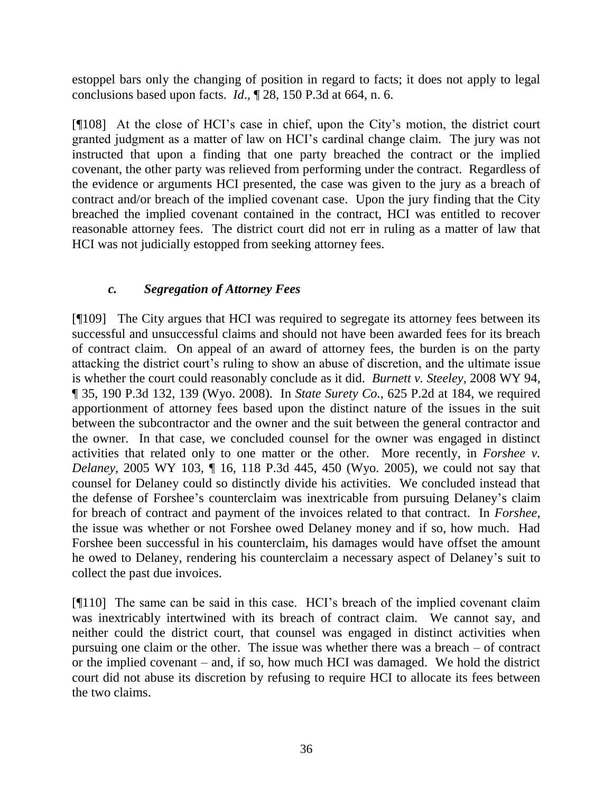estoppel bars only the changing of position in regard to facts; it does not apply to legal conclusions based upon facts. *Id*., ¶ 28, 150 P.3d at 664, n. 6.

[¶108] At the close of HCI's case in chief, upon the City's motion, the district court granted judgment as a matter of law on HCI's cardinal change claim. The jury was not instructed that upon a finding that one party breached the contract or the implied covenant, the other party was relieved from performing under the contract. Regardless of the evidence or arguments HCI presented, the case was given to the jury as a breach of contract and/or breach of the implied covenant case. Upon the jury finding that the City breached the implied covenant contained in the contract, HCI was entitled to recover reasonable attorney fees. The district court did not err in ruling as a matter of law that HCI was not judicially estopped from seeking attorney fees.

## *c. Segregation of Attorney Fees*

[¶109] The City argues that HCI was required to segregate its attorney fees between its successful and unsuccessful claims and should not have been awarded fees for its breach of contract claim. On appeal of an award of attorney fees, the burden is on the party attacking the district court's ruling to show an abuse of discretion, and the ultimate issue is whether the court could reasonably conclude as it did. *Burnett v. Steeley*, 2008 WY 94, ¶ 35, 190 P.3d 132, 139 (Wyo. 2008). In *State Surety Co.*, 625 P.2d at 184, we required apportionment of attorney fees based upon the distinct nature of the issues in the suit between the subcontractor and the owner and the suit between the general contractor and the owner. In that case, we concluded counsel for the owner was engaged in distinct activities that related only to one matter or the other. More recently, in *Forshee v. Delaney*, 2005 WY 103, ¶ 16, 118 P.3d 445, 450 (Wyo. 2005), we could not say that counsel for Delaney could so distinctly divide his activities. We concluded instead that the defense of Forshee's counterclaim was inextricable from pursuing Delaney's claim for breach of contract and payment of the invoices related to that contract. In *Forshee*, the issue was whether or not Forshee owed Delaney money and if so, how much. Had Forshee been successful in his counterclaim, his damages would have offset the amount he owed to Delaney, rendering his counterclaim a necessary aspect of Delaney's suit to collect the past due invoices.

[¶110] The same can be said in this case. HCI's breach of the implied covenant claim was inextricably intertwined with its breach of contract claim. We cannot say, and neither could the district court, that counsel was engaged in distinct activities when pursuing one claim or the other. The issue was whether there was a breach – of contract or the implied covenant – and, if so, how much HCI was damaged. We hold the district court did not abuse its discretion by refusing to require HCI to allocate its fees between the two claims.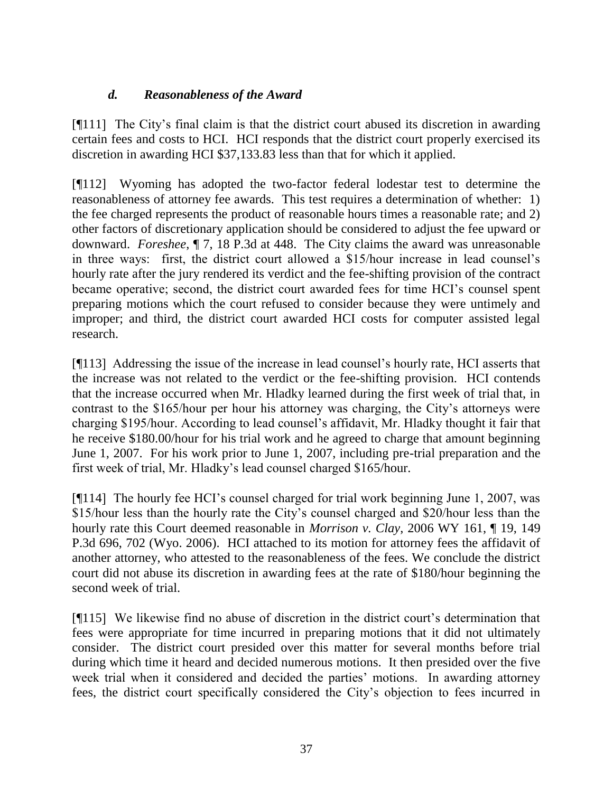# *d. Reasonableness of the Award*

[¶111] The City's final claim is that the district court abused its discretion in awarding certain fees and costs to HCI. HCI responds that the district court properly exercised its discretion in awarding HCI \$37,133.83 less than that for which it applied.

[¶112] Wyoming has adopted the two-factor federal lodestar test to determine the reasonableness of attorney fee awards. This test requires a determination of whether: 1) the fee charged represents the product of reasonable hours times a reasonable rate; and 2) other factors of discretionary application should be considered to adjust the fee upward or downward. *Foreshee*, ¶ 7, 18 P.3d at 448. The City claims the award was unreasonable in three ways: first, the district court allowed a \$15/hour increase in lead counsel's hourly rate after the jury rendered its verdict and the fee-shifting provision of the contract became operative; second, the district court awarded fees for time HCI's counsel spent preparing motions which the court refused to consider because they were untimely and improper; and third, the district court awarded HCI costs for computer assisted legal research.

[¶113] Addressing the issue of the increase in lead counsel's hourly rate, HCI asserts that the increase was not related to the verdict or the fee-shifting provision. HCI contends that the increase occurred when Mr. Hladky learned during the first week of trial that, in contrast to the \$165/hour per hour his attorney was charging, the City's attorneys were charging \$195/hour. According to lead counsel's affidavit, Mr. Hladky thought it fair that he receive \$180.00/hour for his trial work and he agreed to charge that amount beginning June 1, 2007. For his work prior to June 1, 2007, including pre-trial preparation and the first week of trial, Mr. Hladky's lead counsel charged \$165/hour.

[¶114] The hourly fee HCI's counsel charged for trial work beginning June 1, 2007, was \$15/hour less than the hourly rate the City's counsel charged and \$20/hour less than the hourly rate this Court deemed reasonable in *Morrison v. Clay*, 2006 WY 161, ¶ 19, 149 P.3d 696, 702 (Wyo. 2006). HCI attached to its motion for attorney fees the affidavit of another attorney, who attested to the reasonableness of the fees. We conclude the district court did not abuse its discretion in awarding fees at the rate of \$180/hour beginning the second week of trial.

[¶115] We likewise find no abuse of discretion in the district court's determination that fees were appropriate for time incurred in preparing motions that it did not ultimately consider. The district court presided over this matter for several months before trial during which time it heard and decided numerous motions. It then presided over the five week trial when it considered and decided the parties' motions. In awarding attorney fees, the district court specifically considered the City's objection to fees incurred in